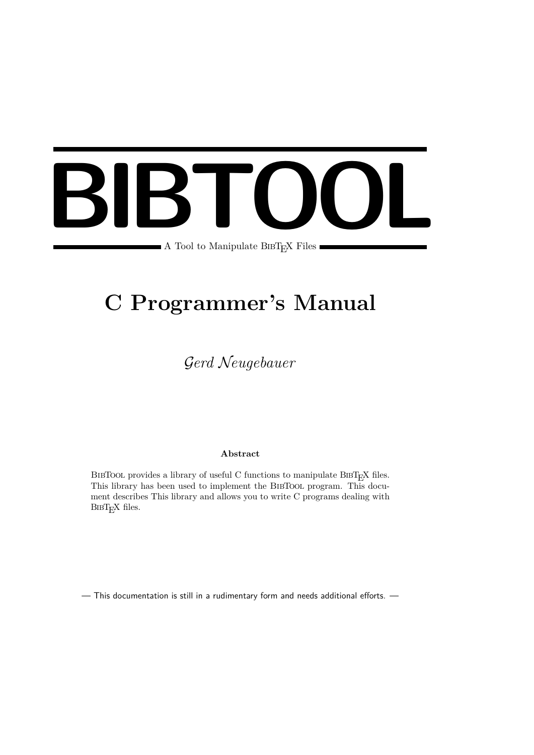# **BIBTOOL** A Tool to Manipulate BIBT<sub>E</sub>X Files

# **C Programmer's Manual**

# G*erd* N*eugebauer*

# **Abstract**

BIBTOOL provides a library of useful C functions to manipulate BIBT<sub>E</sub>X files. This library has been used to implement the BibTool program. This document describes This library and allows you to write C programs dealing with BIBT<sub>EX</sub> files.

— This documentation is still in a rudimentary form and needs additional efforts. —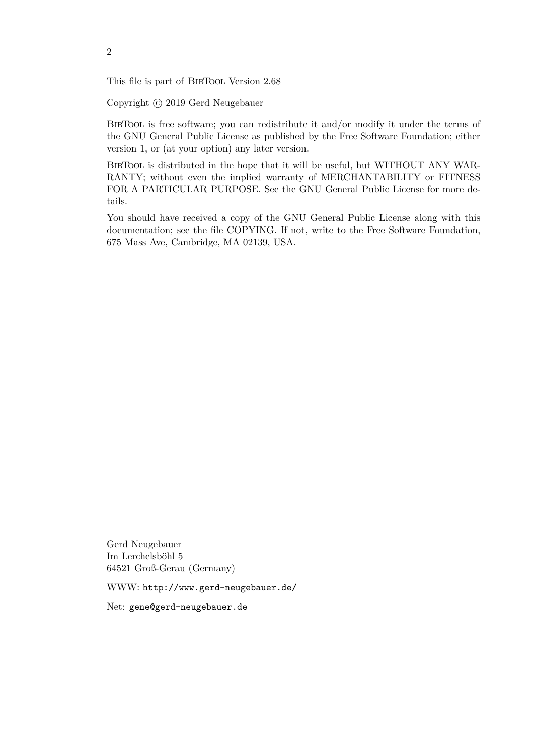This file is part of BibTool Version 2.68

Copyright © 2019 Gerd Neugebauer

BibTool is free software; you can redistribute it and/or modify it under the terms of the GNU General Public License as published by the Free Software Foundation; either version 1, or (at your option) any later version.

BibTool is distributed in the hope that it will be useful, but WITHOUT ANY WAR-RANTY; without even the implied warranty of MERCHANTABILITY or FITNESS FOR A PARTICULAR PURPOSE. See the GNU General Public License for more details.

You should have received a copy of the GNU General Public License along with this documentation; see the file COPYING. If not, write to the Free Software Foundation, 675 Mass Ave, Cambridge, MA 02139, USA.

Gerd Neugebauer Im Lerchelsböhl 5 64521 Groß-Gerau (Germany)

WWW: http://www.gerd-neugebauer.de/

Net: gene@gerd-neugebauer.de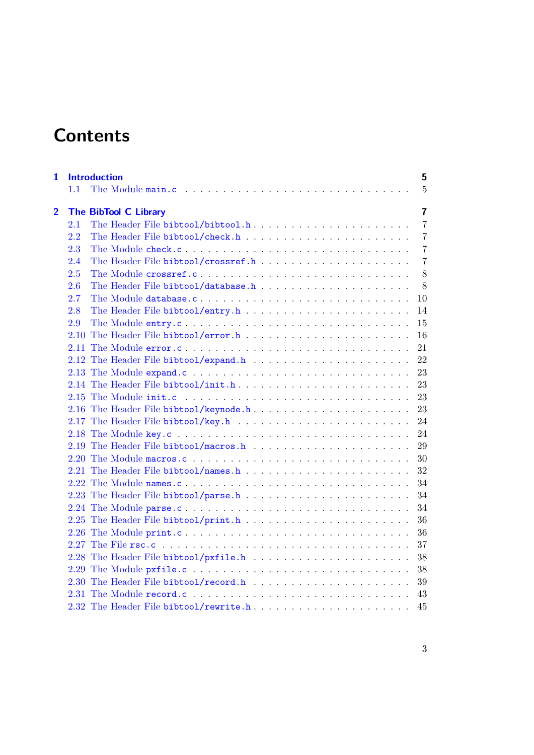# **Contents**

| $\mathbf{1}$   |      | <b>Introduction</b>                                                                              | 5              |
|----------------|------|--------------------------------------------------------------------------------------------------|----------------|
|                | 1.1  |                                                                                                  | $\overline{5}$ |
| $\overline{2}$ |      | <b>The BibTool C Library</b>                                                                     | $\overline{7}$ |
|                | 2.1  | The Header File bibtool/bibtool.h                                                                | $\overline{7}$ |
|                | 2.2  |                                                                                                  | $\overline{7}$ |
|                | 2.3  |                                                                                                  | $\overline{7}$ |
|                | 2.4  |                                                                                                  | $\overline{7}$ |
|                | 2.5  | The Module crossref.c                                                                            | 8              |
|                | 2.6  |                                                                                                  | 8              |
|                | 2.7  | The Module database.c                                                                            | 10             |
|                | 2.8  | The Header File bibtool/entry.h $\ldots \ldots \ldots \ldots \ldots \ldots \ldots \ldots \ldots$ | 14             |
|                | 2.9  |                                                                                                  | 15             |
|                |      |                                                                                                  | 16             |
|                | 2.11 |                                                                                                  | 21             |
|                |      |                                                                                                  | -22            |
|                |      |                                                                                                  |                |
|                |      |                                                                                                  | 23             |
|                |      |                                                                                                  | 23             |
|                |      | 2.16 The Header File bibtool/keynode.h                                                           | 23             |
|                |      |                                                                                                  | 24             |
|                |      |                                                                                                  | 24             |
|                |      |                                                                                                  | 29             |
|                |      |                                                                                                  | 30             |
|                |      |                                                                                                  | 32             |
|                |      | 2.22 The Module names.c                                                                          | 34             |
|                |      |                                                                                                  | 34             |
|                |      |                                                                                                  | 34             |
|                |      |                                                                                                  | 36             |
|                |      |                                                                                                  | 36             |
|                |      |                                                                                                  | 37             |
|                |      |                                                                                                  | 38             |
|                |      |                                                                                                  | 38             |
|                |      |                                                                                                  | 39             |
|                |      |                                                                                                  | 43             |
|                |      | 2.32 The Header File bibtool/rewrite.h                                                           | 45             |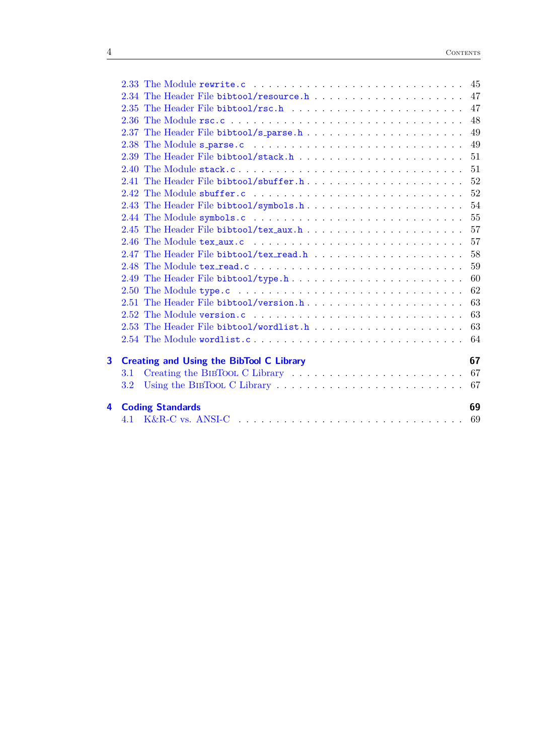|                         |                                                 | 49 |
|-------------------------|-------------------------------------------------|----|
|                         |                                                 | 51 |
|                         |                                                 | 51 |
|                         |                                                 |    |
|                         |                                                 | 52 |
|                         |                                                 | 54 |
|                         |                                                 |    |
|                         |                                                 | 57 |
|                         |                                                 | 57 |
|                         |                                                 | 58 |
|                         |                                                 | 59 |
|                         |                                                 | 60 |
|                         |                                                 |    |
|                         |                                                 | 63 |
|                         |                                                 | 63 |
|                         |                                                 |    |
|                         |                                                 |    |
| $\overline{\mathbf{3}}$ | <b>Creating and Using the BibTool C Library</b> | 67 |
|                         | 3.1                                             |    |
|                         | 3.2                                             |    |
| 4                       | <b>Coding Standards</b>                         | 69 |
|                         |                                                 |    |
|                         |                                                 |    |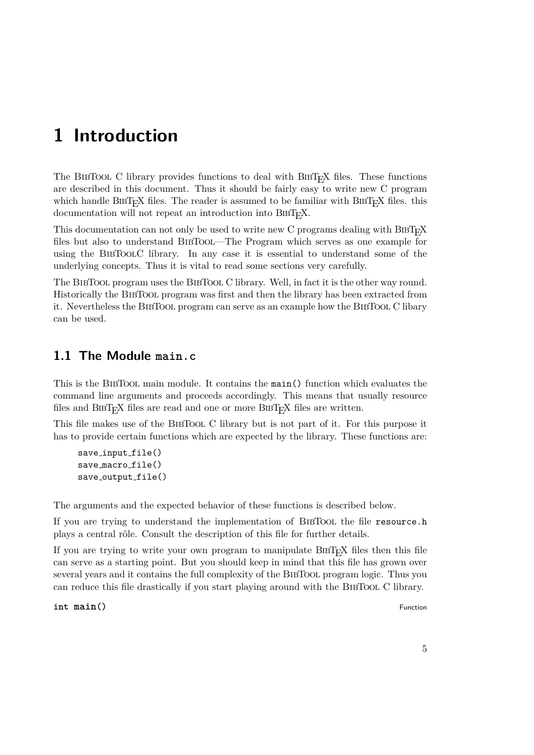# <span id="page-4-0"></span>**1 Introduction**

The BIBTOOL C library provides functions to deal with BIBT<sub>E</sub>X files. These functions are described in this document. Thus it should be fairly easy to write new C program which handle BIBT<sub>E</sub>X files. The reader is assumed to be familiar with BIBT<sub>E</sub>X files. this documentation will not repeat an introduction into BIBT<sub>E</sub>X.

This documentation can not only be used to write new C programs dealing with  $BIBT<sub>F</sub>X$ files but also to understand BibTool—The Program which serves as one example for using the BibToolC library. In any case it is essential to understand some of the underlying concepts. Thus it is vital to read some sections very carefully.

The BibTool program uses the BibTool C library. Well, in fact it is the other way round. Historically the BibTool program was first and then the library has been extracted from it. Nevertheless the BibTool program can serve as an example how the BibTool C libary can be used.

# <span id="page-4-1"></span>**1.1 The Module main.c**

This is the BibTool main module. It contains the main() function which evaluates the command line arguments and proceeds accordingly. This means that usually resource files and  $BIBT<sub>F</sub>X$  files are read and one or more  $BIBT<sub>F</sub>X$  files are written.

This file makes use of the BibTool C library but is not part of it. For this purpose it has to provide certain functions which are expected by the library. These functions are:

```
save input file()
save macro file()
save_output_file()
```
The arguments and the expected behavior of these functions is described below.

If you are trying to understand the implementation of BIBTOOL the file resource.h plays a central rôle. Consult the description of this file for further details.

If you are trying to write your own program to manipulate  $BIBT<sub>F</sub>X$  files then this file can serve as a starting point. But you should keep in mind that this file has grown over several years and it contains the full complexity of the BIBTOOL program logic. Thus you can reduce this file drastically if you start playing around with the BibTool C library.

**int**  $\text{main}()$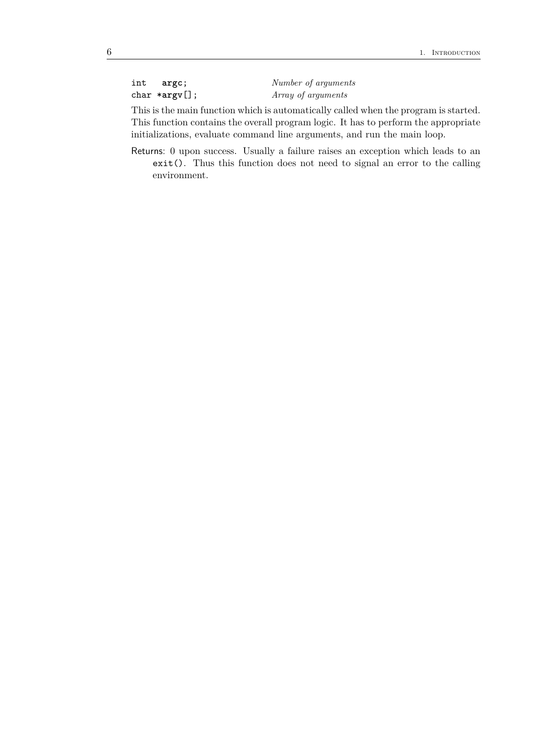| int | argc;            | Number of arguments |
|-----|------------------|---------------------|
|     | $char *argv[]$ ; | Array of arguments  |

This is the main function which is automatically called when the program is started. This function contains the overall program logic. It has to perform the appropriate initializations, evaluate command line arguments, and run the main loop.

Returns: 0 upon success. Usually a failure raises an exception which leads to an exit(). Thus this function does not need to signal an error to the calling environment.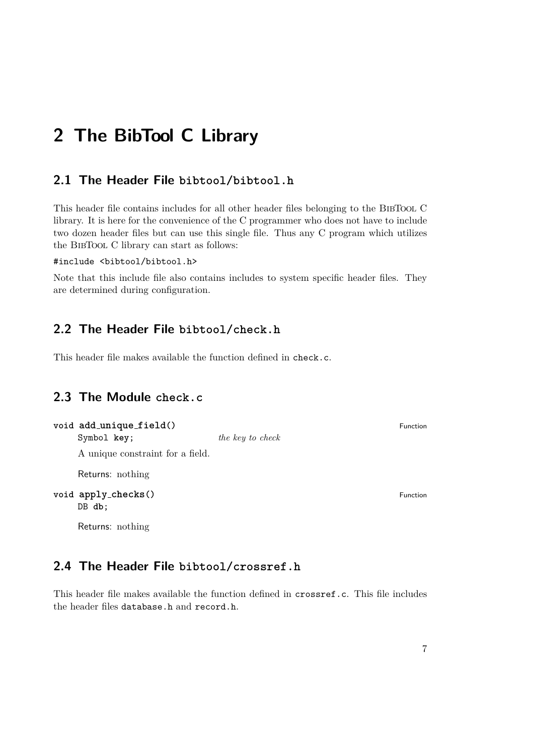# <span id="page-6-0"></span>**2 The BibTool C Library**

# <span id="page-6-1"></span>**2.1 The Header File bibtool/bibtool.h**

This header file contains includes for all other header files belonging to the BIBTOOL C library. It is here for the convenience of the C programmer who does not have to include two dozen header files but can use this single file. Thus any C program which utilizes the BibTool C library can start as follows:

# #include <bibtool/bibtool.h>

Note that this include file also contains includes to system specific header files. They are determined during configuration.

# <span id="page-6-2"></span>**2.2 The Header File bibtool/check.h**

This header file makes available the function defined in check.c.

# <span id="page-6-3"></span>**2.3 The Module check.c**

| void add_unique_field() |                  | Function |
|-------------------------|------------------|----------|
| Symbol key:             | the key to check |          |

A unique constraint for a field.

Returns: nothing

**void apply checks()** Function DB **db**;

Returns: nothing

# <span id="page-6-4"></span>**2.4 The Header File bibtool/crossref.h**

This header file makes available the function defined in crossref.c. This file includes the header files database.h and record.h.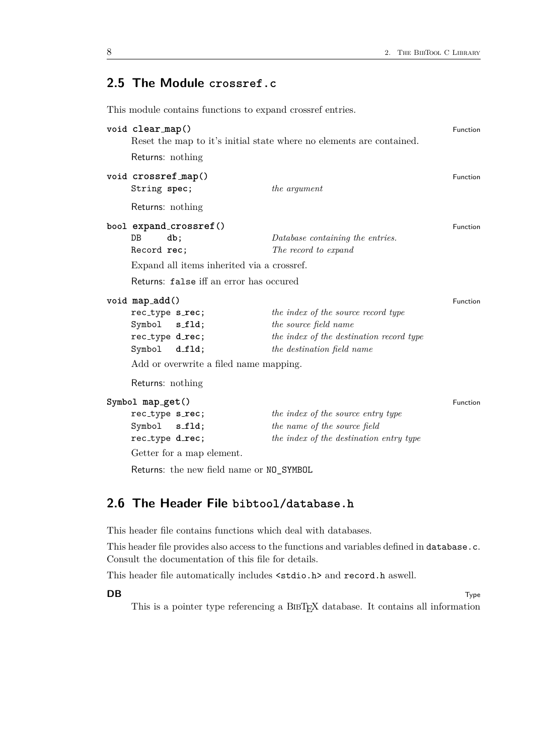# <span id="page-7-0"></span>**2.5 The Module crossref.c**

This module contains functions to expand crossref entries.

| void clear_map()                    |                                            | Reset the map to it's initial state where no elements are contained. | Function        |
|-------------------------------------|--------------------------------------------|----------------------------------------------------------------------|-----------------|
| Returns: nothing                    |                                            |                                                                      |                 |
| void crossref_map()<br>String spec; |                                            | the argument                                                         | <b>Function</b> |
| Returns: nothing                    |                                            |                                                                      |                 |
|                                     | bool expand_crossref()                     |                                                                      | <b>Function</b> |
| D <sub>B</sub><br>db;               |                                            | Database containing the entries.                                     |                 |
| Record rec;                         |                                            | The record to expand                                                 |                 |
|                                     | Expand all items inherited via a crossref. |                                                                      |                 |
|                                     | Returns: false iff an error has occured    |                                                                      |                 |
| void map_add()                      |                                            |                                                                      | <b>Function</b> |
| rec_type s_rec;                     |                                            | the index of the source record type                                  |                 |
| Symbol s_fld;                       |                                            | the source field name                                                |                 |
| rec_type d_rec;                     |                                            | the index of the destination record type                             |                 |
| Symbol                              | d_fld;                                     | the destination field name                                           |                 |
|                                     | Add or overwrite a filed name mapping.     |                                                                      |                 |
| Returns: nothing                    |                                            |                                                                      |                 |
| Symbol map_get()                    |                                            |                                                                      | Function        |
| rec_type s_rec;                     |                                            | the index of the source entry type                                   |                 |
| Symbol s_fld;                       |                                            | the name of the source field                                         |                 |
| rec_type d_rec;                     |                                            | the index of the destination entry type                              |                 |
|                                     | Getter for a map element.                  |                                                                      |                 |

Returns: the new field name or NO\_SYMBOL

# <span id="page-7-1"></span>**2.6 The Header File bibtool/database.h**

This header file contains functions which deal with databases.

This header file provides also access to the functions and variables defined in database.c. Consult the documentation of this file for details.

This header file automatically includes <stdio.h> and record.h aswell.

**DB** Type

This is a pointer type referencing a BIBT<sub>E</sub>X database. It contains all information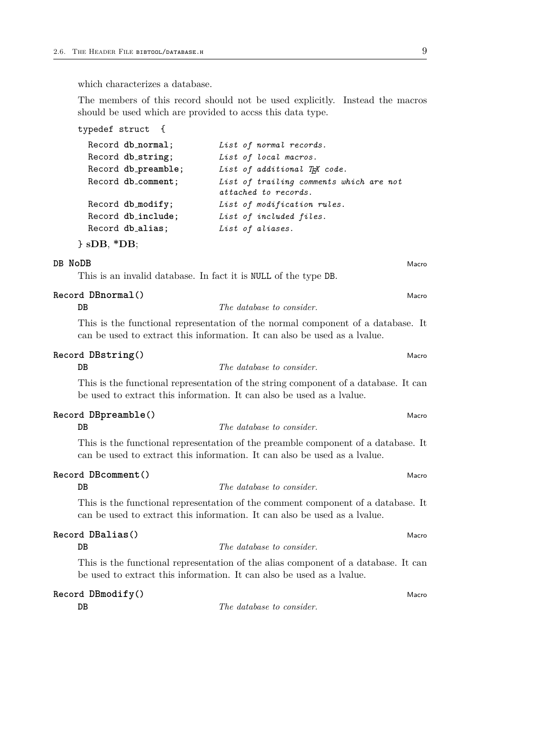which characterizes a database.

The members of this record should not be used explicitly. Instead the macros should be used which are provided to accss this data type.

| typedef struct {    |                                           |
|---------------------|-------------------------------------------|
| Record db_normal;   | List of normal records.                   |
| Record db_string;   | List of local macros.                     |
| Record db_preamble; | List of additional T <sub>R</sub> X code. |
| Record db_comment;  | List of trailing comments which are not   |
|                     | attached to records.                      |
| Record db_modify;   | List of modification rules.               |
| Record db_include;  | List of included files.                   |
| Record db_alias;    | List of aliases.                          |
| $\}$ sDB, $*$ DB;   |                                           |

# **DB NoDB** Macro

This is an invalid database. In fact it is NULL of the type DB.

#### **Record DBnormal**<sup>()</sup> Macrosoft Control of Macrosoft Control of Macrosoft Control of Macrosoft Control of Macrosoft Control of Macrosoft Control of Macrosoft Control of Macrosoft Control of Macrosoft Control of Macrosoft C

# **DB** *The database to consider.*

This is the functional representation of the normal component of a database. It can be used to extract this information. It can also be used as a lvalue.

#### **Record DBstring()** Macro Macro Macro Macro Macro Macro Macro Macro Macro Macro Macro Macro Macro Macro Macro Macro Macro Macro Macro Macro Macro Macro Macro Macro Macro Macro Macro Macro Macro Macro Macro Macro Macro Macr

# **DB** *The database to consider.*

This is the functional representation of the string component of a database. It can be used to extract this information. It can also be used as a lvalue.

#### **Record DBpreamble()** Macro

#### **DB** *The database to consider.*

This is the functional representation of the preamble component of a database. It can be used to extract this information. It can also be used as a lvalue.

#### **Record DBcomment** () Macro

#### **DB** *The database to consider.*

This is the functional representation of the comment component of a database. It can be used to extract this information. It can also be used as a lvalue.

# **Record DBalias()** Macro

```
DB The database to consider.
```
This is the functional representation of the alias component of a database. It can be used to extract this information. It can also be used as a lvalue.

# **Record DBmodify()** Macro Macro Macro Macro Macro Macro Macro Macro Macro Macro Macro Macro Macro Macro Macro Macro Macro Macro Macro Macro Macro Macro Macro Macro Macro Macro Macro Macro Macro Macro Macro Macro Macro Macr

**DB** *The database to consider.*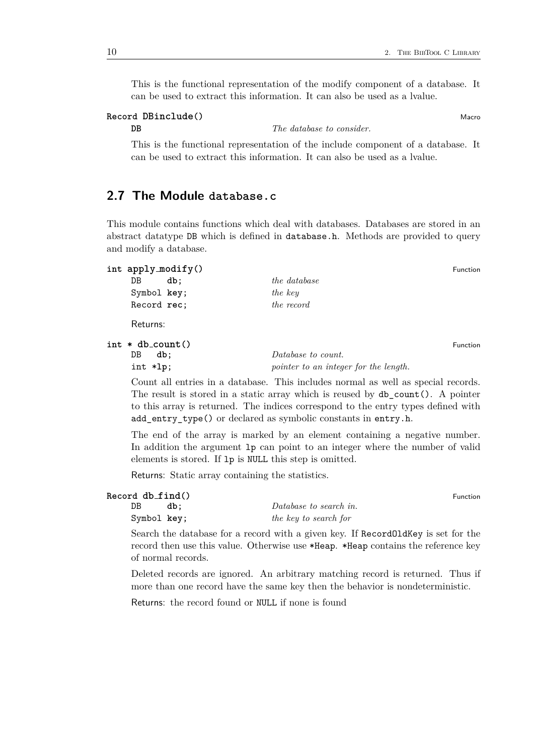This is the functional representation of the modify component of a database. It can be used to extract this information. It can also be used as a lvalue.

# **Record DBinclude**() and **Macro** Macro Macro Macro Macro Macro Macro Macro Macro Macro Macro Macro Macro Macro Macro Macro Macro Macro Macro Macro Macro Macro Macro Macro Macro Macro Macro Macro Macro Macro Macro Macro Mac

**DB** *The database to consider.*

This is the functional representation of the include component of a database. It can be used to extract this information. It can also be used as a lvalue.

# <span id="page-9-0"></span>**2.7 The Module database.c**

This module contains functions which deal with databases. Databases are stored in an abstract datatype DB which is defined in database.h. Methods are provided to query and modify a database.

| int apply_modify()   |                                       | Function |
|----------------------|---------------------------------------|----------|
| DB<br>db:            | <i>the database</i>                   |          |
| Symbol key;          | the key                               |          |
| Record rec;          | the record                            |          |
| Returns:             |                                       |          |
| $int * db_{count}()$ |                                       | Function |
| DB<br>db;            | Database to count.                    |          |
| int *lp;             | pointer to an integer for the length. |          |

Count all entries in a database. This includes normal as well as special records. The result is stored in a static array which is reused by db\_count(). A pointer to this array is returned. The indices correspond to the entry types defined with add\_entry\_type() or declared as symbolic constants in entry.h.

The end of the array is marked by an element containing a negative number. In addition the argument lp can point to an integer where the number of valid elements is stored. If lp is NULL this step is omitted.

Returns: Static array containing the statistics.

| Record db_find() |                        | Function |
|------------------|------------------------|----------|
| DB<br>db:        | Database to search in. |          |
| Symbol key;      | the key to search for  |          |

Search the database for a record with a given key. If RecordOldKey is set for the record then use this value. Otherwise use \*Heap. \*Heap contains the reference key of normal records.

Deleted records are ignored. An arbitrary matching record is returned. Thus if more than one record have the same key then the behavior is nondeterministic.

Returns: the record found or NULL if none is found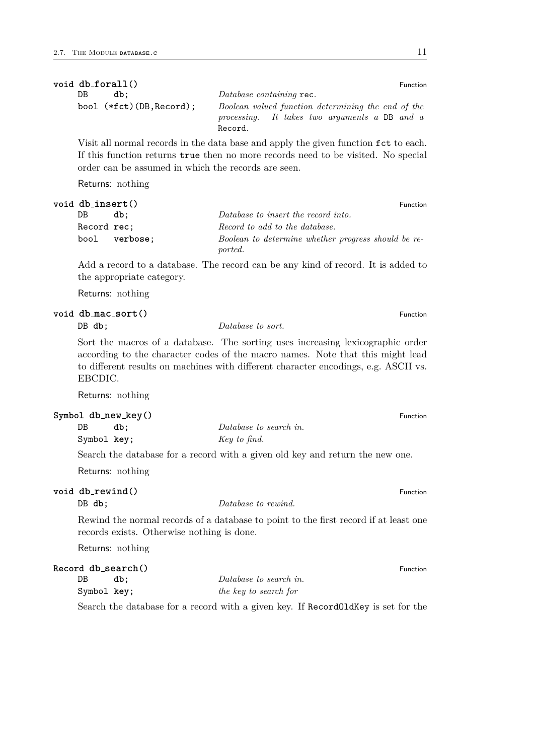|    | void db_forall()           |                                                    | Function |
|----|----------------------------|----------------------------------------------------|----------|
| DB | db:                        | Database containing rec.                           |          |
|    | bool $(*fct)(DB, Record);$ | Boolean valued function determining the end of the |          |
|    |                            | processing. It takes two arguments a DB and a      |          |
|    |                            | Record.                                            |          |

Visit all normal records in the data base and apply the given function fct to each. If this function returns true then no more records need to be visited. No special order can be assumed in which the records are seen.

Returns: nothing

| void db_insert() |          |                                                     | Function |
|------------------|----------|-----------------------------------------------------|----------|
| DB.              | db:      | Database to insert the record into.                 |          |
| Record rec:      |          | Record to add to the database.                      |          |
| bool             | verbose: | Boolean to determine whether progress should be re- |          |
|                  |          | ported.                                             |          |

Add a record to a database. The record can be any kind of record. It is added to the appropriate category.

Returns: nothing

# **void db mac sort()** Function

DB **db**; *Database to sort.* 

Sort the macros of a database. The sorting uses increasing lexicographic order according to the character codes of the macro names. Note that this might lead to different results on machines with different character encodings, e.g. ASCII vs. EBCDIC.

Returns: nothing

| $Symbol db_new_key()$ |                        | <b>Function</b> |
|-----------------------|------------------------|-----------------|
| DB<br>db:             | Database to search in. |                 |
| Symbol key;           | Key to find.           |                 |

Search the database for a record with a given old key and return the new one.

Returns: nothing

| void db_rewind() |                                            |                                                                                      | Function |
|------------------|--------------------------------------------|--------------------------------------------------------------------------------------|----------|
| $DB$ db;         |                                            | Database to rewind.                                                                  |          |
|                  | records exists. Otherwise nothing is done. | Rewind the normal records of a database to point to the first record if at least one |          |
|                  | Returns: nothing                           |                                                                                      |          |
|                  | Record db_search()                         |                                                                                      | Function |
| DB               | db:                                        | Database to search in.                                                               |          |
| Symbol key;      |                                            | the key to search for                                                                |          |
|                  |                                            | Search the database for a record with a given key. If RecordOldKey is set for the    |          |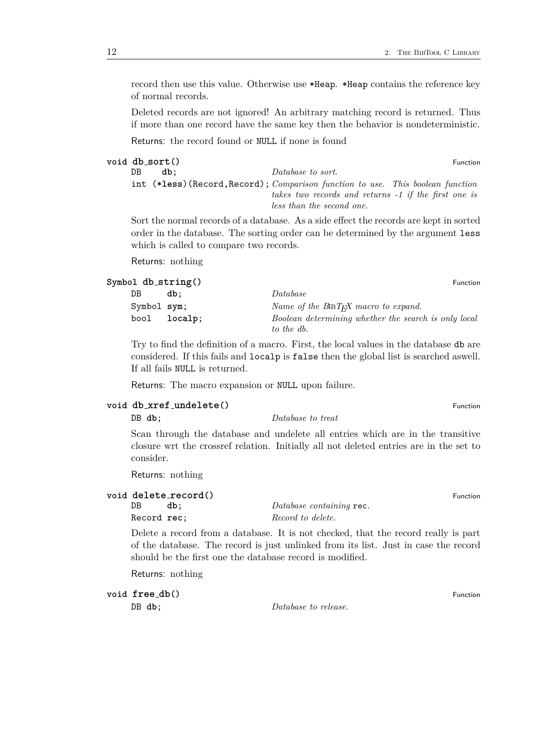record then use this value. Otherwise use \*Heap. \*Heap contains the reference key of normal records.

Deleted records are not ignored! An arbitrary matching record is returned. Thus if more than one record have the same key then the behavior is nondeterministic.

Returns: the record found or NULL if none is found

|    | void db_sort() |                                                                                 | Function |
|----|----------------|---------------------------------------------------------------------------------|----------|
| DB | db:            | Database to sort.                                                               |          |
|    |                | int (*less) (Record, Record); Comparison function to use. This boolean function |          |
|    |                | takes two records and returns -1 if the first one is                            |          |
|    |                | less than the second one.                                                       |          |

Sort the normal records of a database. As a side effect the records are kept in sorted order in the database. The sorting order can be determined by the argument less which is called to compare two records.

Returns: nothing

| Symbol db_string() |              | Function                                             |
|--------------------|--------------|------------------------------------------------------|
| DB                 | db:          | Database                                             |
| Symbol sym;        |              | Name of the $BIBT_F X$ macro to expand.              |
|                    | bool localp; | Boolean determining whether the search is only local |
|                    |              | to the db.                                           |

Try to find the definition of a macro. First, the local values in the database db are considered. If this fails and localp is false then the global list is searched aswell. If all fails NULL is returned.

Returns: The macro expansion or NULL upon failure.

# **void db xref undelete()** Function

DB **db**; *Database to treat*

Scan through the database and undelete all entries which are in the transitive closure wrt the crossref relation. Initially all not deleted entries are in the set to consider.

Returns: nothing

# **void delete\_record()** Function<br>DB **db**; *Database containing* rec.

Record **rec**; *Record to delete.*

Delete a record from a database. It is not checked, that the record really is part of the database. The record is just unlinked from its list. Just in case the record should be the first one the database record is modified.

Database containing rec.

Returns: nothing

**void**  $\mathbf{free\_db}()$  Function

DB **db**; *Database to release.*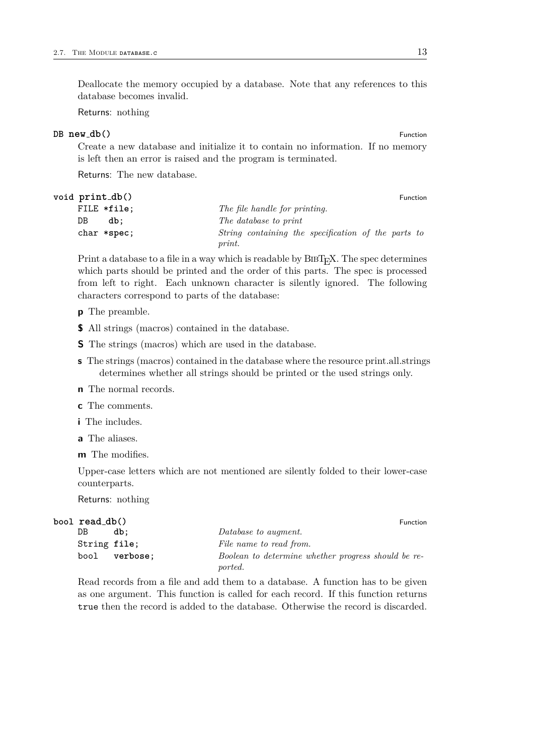Deallocate the memory occupied by a database. Note that any references to this database becomes invalid.

Returns: nothing

# **DB new db()** Function

Create a new database and initialize it to contain no information. If no memory is left then an error is raised and the program is terminated.

Returns: The new database.

### **void print db**() Function **Function**

| FILE *file;     |     |        | The file handle for printing. |                                                     |  |  |
|-----------------|-----|--------|-------------------------------|-----------------------------------------------------|--|--|
| DB              | db: |        | The database to print         |                                                     |  |  |
| $char$ $*spec;$ |     |        |                               | String containing the specification of the parts to |  |  |
|                 |     | print. |                               |                                                     |  |  |

Print a database to a file in a way which is readable by BIBT<sub>E</sub>X. The spec determines which parts should be printed and the order of this parts. The spec is processed from left to right. Each unknown character is silently ignored. The following characters correspond to parts of the database:

**p** The preamble.

**\$** All strings (macros) contained in the database.

- **S** The strings (macros) which are used in the database.
- **s** The strings (macros) contained in the database where the resource print.all.strings determines whether all strings should be printed or the used strings only.
- **n** The normal records.
- **c** The comments.
- **i** The includes.
- **a** The aliases.

**m** The modifies.

Upper-case letters which are not mentioned are silently folded to their lower-case counterparts.

Returns: nothing

| bool read_db() |               |                                                                |  |
|----------------|---------------|----------------------------------------------------------------|--|
| DB.            | db:           | Database to augment.                                           |  |
| String file;   |               | File name to read from.                                        |  |
|                | bool verbose: | Boolean to determine whether progress should be re-<br>ported. |  |

Read records from a file and add them to a database. A function has to be given as one argument. This function is called for each record. If this function returns true then the record is added to the database. Otherwise the record is discarded.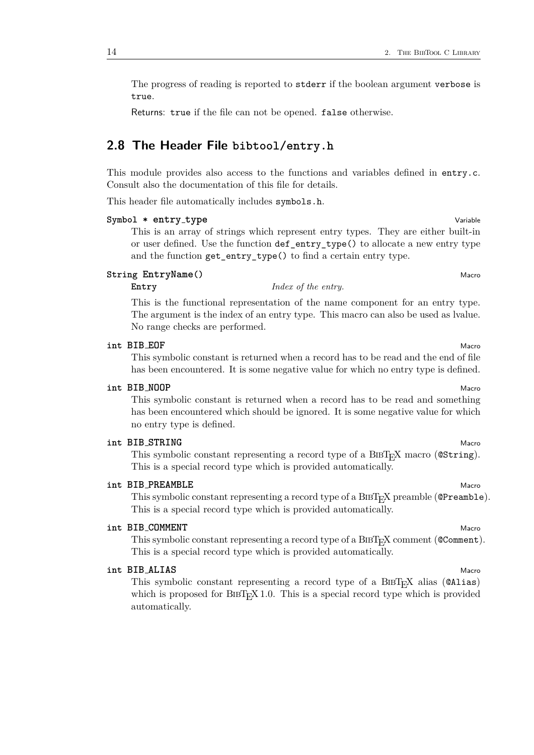The progress of reading is reported to stderr if the boolean argument verbose is true.

Returns: true if the file can not be opened. false otherwise.

# <span id="page-13-0"></span>**2.8 The Header File bibtool/entry.h**

This module provides also access to the functions and variables defined in entry.c. Consult also the documentation of this file for details.

This header file automatically includes symbols.h.

# **Symbol \* entry type** Variable

This is an array of strings which represent entry types. They are either built-in or user defined. Use the function def\_entry\_type() to allocate a new entry type and the function get\_entry\_type() to find a certain entry type.

# **String EntryName()** Macro

# **Entry** *Index of the entry.*

This is the functional representation of the name component for an entry type. The argument is the index of an entry type. This macro can also be used as lvalue. No range checks are performed.

#### **int BIB EOF** Macro

This symbolic constant is returned when a record has to be read and the end of file has been encountered. It is some negative value for which no entry type is defined.

### **int BIB NOOP** Macro

This symbolic constant is returned when a record has to be read and something has been encountered which should be ignored. It is some negative value for which no entry type is defined.

#### **int BIB** STRING Macro

This symbolic constant representing a record type of a BIBT<sub>E</sub>X macro (CString). This is a special record type which is provided automatically.

# **int BIB\_PREAMBLE** Macro

This symbolic constant representing a record type of a  $BIBT<sub>F</sub>X$  preamble ( $QP$ reamble). This is a special record type which is provided automatically.

# **int BIB COMMENT** Macro

This symbolic constant representing a record type of a BIBT<sub>E</sub>X comment (@Comment). This is a special record type which is provided automatically.

# **int BIB\_ALIAS** Macro

This symbolic constant representing a record type of a  $BIBT$ <sub>EX</sub> alias ( $QALias$ ) which is proposed for  $BIBT<sub>F</sub>X$  1.0. This is a special record type which is provided automatically.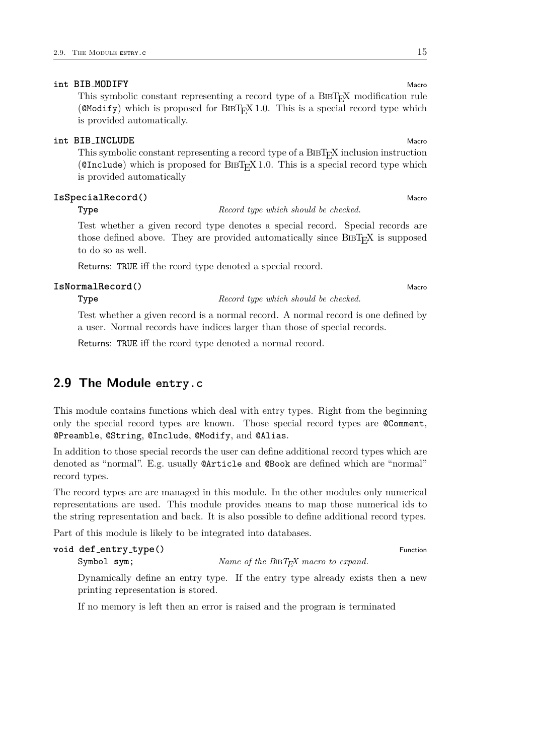# **int BIB\_MODIFY** Macro

This symbolic constant representing a record type of a  $BIBT<sub>F</sub>X$  modification rule ( $\alpha$ Modify) which is proposed for BIBT<sub>E</sub>X 1.0. This is a special record type which is provided automatically.

#### **int BIB** INCLUDE Macrosoft Macrosoft Macrosoft Macrosoft Macrosoft Macrosoft Macrosoft Macrosoft Macrosoft Macro

This symbolic constant representing a record type of a  $BIBT<sub>F</sub>X$  inclusion instruction (CInclude) which is proposed for  $BIBT_FX$  1.0. This is a special record type which is provided automatically

### **IsSpecialRecord()** Macro Macro Macro Macro Macro Macro Macro Macro Macro Macro Macro Macro Macro Macro Macro Macro Macro Macro Macro Macro Macro Macro Macro Macro Macro Macro Macro Macro Macro Macro Macro Macro Macro Macr

**Type** *Record type which should be checked.*

Test whether a given record type denotes a special record. Special records are those defined above. They are provided automatically since  $BIBT<sub>F</sub>X$  is supposed to do so as well.

Returns: TRUE iff the rcord type denoted a special record.

#### **IsNormalRecord()** Macro

**Type** *Record type which should be checked.*

Test whether a given record is a normal record. A normal record is one defined by a user. Normal records have indices larger than those of special records.

Returns: TRUE iff the rcord type denoted a normal record.

# <span id="page-14-0"></span>**2.9 The Module entry.c**

This module contains functions which deal with entry types. Right from the beginning only the special record types are known. Those special record types are @Comment, @Preamble, @String, @Include, @Modify, and @Alias.

In addition to those special records the user can define additional record types which are denoted as "normal". E.g. usually @Article and @Book are defined which are "normal" record types.

The record types are are managed in this module. In the other modules only numerical representations are used. This module provides means to map those numerical ids to the string representation and back. It is also possible to define additional record types.

Part of this module is likely to be integrated into databases.

# **void**  $def\_entry\_type()$  Function Symbol sym; *Name of the BIBT<sub>E</sub>X macro to expand.*

Dynamically define an entry type. If the entry type already exists then a new printing representation is stored.

If no memory is left then an error is raised and the program is terminated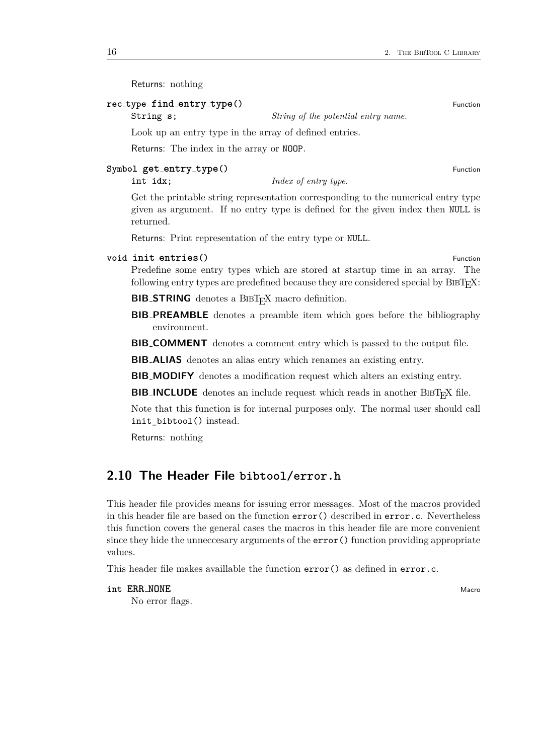Returns: nothing

# **rec type find entry type()** Function

String **s**; *String of the potential entry name.*

Look up an entry type in the array of defined entries.

Returns: The index in the array or NOOP.

#### **Symbol get entry type()** Function

int **idx**; *Index of entry type.*

Get the printable string representation corresponding to the numerical entry type given as argument. If no entry type is defined for the given index then NULL is returned.

Returns: Print representation of the entry type or NULL.

#### **void init\_entries()** Function

Predefine some entry types which are stored at startup time in an array. The following entry types are predefined because they are considered special by  $BIBT<sub>F</sub>X$ :

**BIB\_STRING** denotes a BIBT<sub>E</sub>X macro definition.

**BIB PREAMBLE** denotes a preamble item which goes before the bibliography environment.

**BIB COMMENT** denotes a comment entry which is passed to the output file.

**BIB ALIAS** denotes an alias entry which renames an existing entry.

**BIB MODIFY** denotes a modification request which alters an existing entry.

**BIB INCLUDE** denotes an include request which reads in another  $\text{BiBr}_k$ X file.

Note that this function is for internal purposes only. The normal user should call init\_bibtool() instead.

Returns: nothing

# <span id="page-15-0"></span>**2.10 The Header File bibtool/error.h**

This header file provides means for issuing error messages. Most of the macros provided in this header file are based on the function  $error()$  described in  $error.c.$  Nevertheless this function covers the general cases the macros in this header file are more convenient since they hide the unneccesary arguments of the  $error()$  function providing appropriate values.

This header file makes availlable the function  $error()$  as defined in error.c.

# **int ERR\_NONE** Macro

No error flags.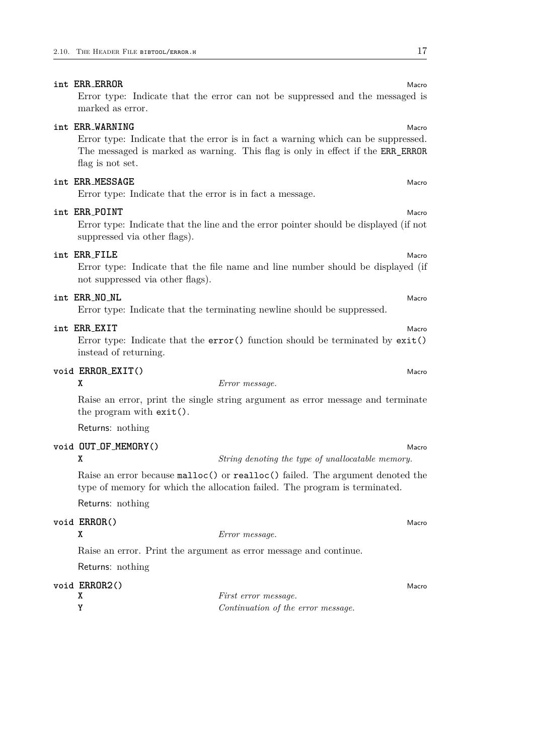# **int ERR\_ERROR** Macro

Error type: Indicate that the error can not be suppressed and the messaged is marked as error.

# **int ERR** WARNING Macro **Macro**

Error type: Indicate that the error is in fact a warning which can be suppressed. The messaged is marked as warning. This flag is only in effect if the ERR\_ERROR flag is not set.

# **int ERR\_MESSAGE** Macrosoft **Macrosoft CONSTRUCTER** Macrosoft **Macro** Macrosoft **Macro**

Error type: Indicate that the error is in fact a message.

# **int ERR POINT** Macro

Error type: Indicate that the line and the error pointer should be displayed (if not suppressed via other flags).

# **int ERR** FILE Macro

Error type: Indicate that the file name and line number should be displayed (if not suppressed via other flags).

# **int ERR NO NL** Macro

Error type: Indicate that the terminating newline should be suppressed.

# **int ERR EXIT** Macro

Error type: Indicate that the error() function should be terminated by exit() instead of returning.

# **void ERROR EXIT()** Macro

#### **X** *Error message.*

Raise an error, print the single string argument as error message and terminate the program with exit().

Returns: nothing

# **void OUT OF MEMORY()** Macro

**X** *String denoting the type of unallocatable memory.*

Raise an error because malloc() or realloc() failed. The argument denoted the type of memory for which the allocation failed. The program is terminated.

Returns: nothing

# **void ERROR**() Macro

**X** *Error message.*

Raise an error. Print the argument as error message and continue.

Returns: nothing

# **void ERROR2**() Macro

| <i>First error message.</i>        |
|------------------------------------|
| Continuation of the error message. |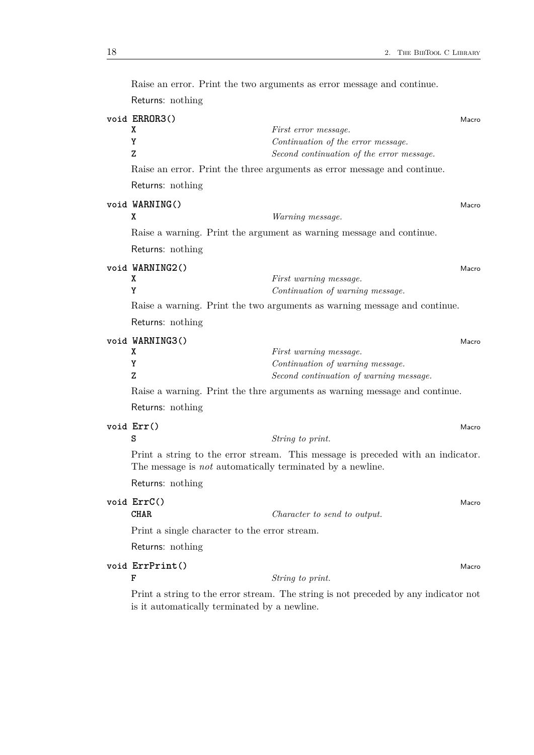| Returns: nothing                                                 |                                                                                                                  |
|------------------------------------------------------------------|------------------------------------------------------------------------------------------------------------------|
| void ERROR3()<br>X<br>Y<br>Z                                     | Macro<br>First error message.<br>Continuation of the error message.<br>Second continuation of the error message. |
|                                                                  | Raise an error. Print the three arguments as error message and continue.                                         |
| Returns: nothing                                                 |                                                                                                                  |
| void WARNING()<br>X                                              | Macro<br>Warning message.                                                                                        |
|                                                                  | Raise a warning. Print the argument as warning message and continue.                                             |
| Returns: nothing                                                 |                                                                                                                  |
| void WARNING2()<br>χ<br>Y                                        | Macro<br>First warning message.<br>Continuation of warning message.                                              |
|                                                                  | Raise a warning. Print the two arguments as warning message and continue.                                        |
| Returns: nothing                                                 |                                                                                                                  |
| void WARNING3()<br>X<br>Y<br>Z                                   | Macro<br>First warning message.<br>Continuation of warning message.<br>Second continuation of warning message.   |
|                                                                  | Raise a warning. Print the thre arguments as warning message and continue.                                       |
| Returns: nothing                                                 |                                                                                                                  |
| void Err()<br>s                                                  | Macro<br>String to print.                                                                                        |
| The message is <i>not</i> automatically terminated by a newline. | Print a string to the error stream. This message is preceded with an indicator.                                  |
| Returns: nothing                                                 |                                                                                                                  |
| void ErrC()<br><b>CHAR</b>                                       | Macro<br>Character to send to output.                                                                            |
| Print a single character to the error stream.                    |                                                                                                                  |
| Returns: nothing                                                 |                                                                                                                  |
| void ErrPrint()<br>F                                             | Macro<br>String to print.                                                                                        |
| is it automatically terminated by a newline.                     | Print a string to the error stream. The string is not preceded by any indicator not                              |

Raise an error. Print the two arguments as error message and continue.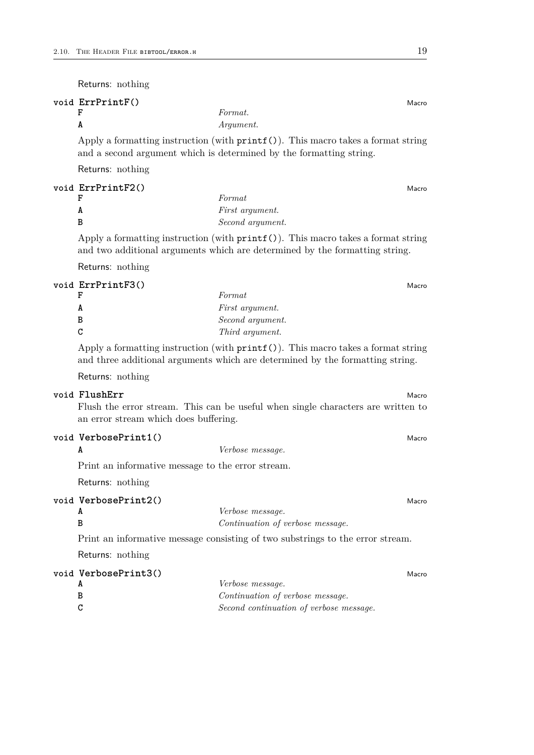Returns: nothing

| void ErrPrintF()                                                                                                                                            |           |  |
|-------------------------------------------------------------------------------------------------------------------------------------------------------------|-----------|--|
|                                                                                                                                                             | Format.   |  |
| A                                                                                                                                                           | Argument. |  |
| Apply a formatting instruction (with $print(f))$ ). This macro takes a format string<br>and a second argument which is determined by the formatting string. |           |  |
|                                                                                                                                                             |           |  |

Returns: nothing

| void ErrPrintF2() |                        | Macro |
|-------------------|------------------------|-------|
|                   | Format                 |       |
|                   | <i>First argument.</i> |       |
|                   | Second argument.       |       |

Apply a formatting instruction (with printf()). This macro takes a format string and two additional arguments which are determined by the formatting string.

Returns: nothing

### **void ErrPrintF3()** Macro

|    | Format                 |
|----|------------------------|
|    | <i>First argument.</i> |
| B  | Second argument.       |
| C. | Third argument.        |

Apply a formatting instruction (with printf()). This macro takes a format string and three additional arguments which are determined by the formatting string.

Returns: nothing

# **void** FlushErr Macro

Flush the error stream. This can be useful when single characters are written to an error stream which does buffering.

# **void VerbosePrint1()** Macro

**A** *Verbose message.*

Print an informative message to the error stream.

Returns: nothing

# **void VerbosePrint2()** Macro

**A** *Verbose message.*

**B** *Continuation of verbose message.*

Print an informative message consisting of two substrings to the error stream.

Returns: nothing

| void VerbosePrint3() |                                         | Macro |
|----------------------|-----------------------------------------|-------|
|                      | Verbose message.                        |       |
| В                    | Continuation of verbose message.        |       |
|                      | Second continuation of verbose message. |       |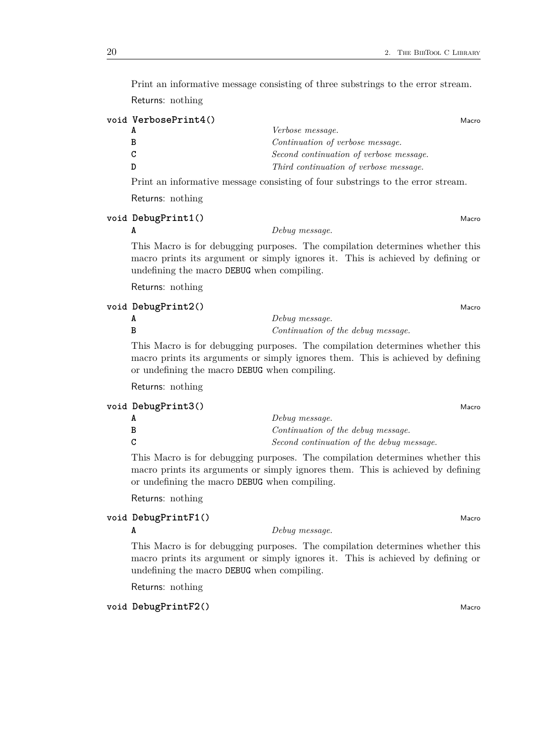Print an informative message consisting of three substrings to the error stream. Returns: nothing

| Macro |
|-------|
|       |

| Verbose message.                                                                                                |
|-----------------------------------------------------------------------------------------------------------------|
| Continuation of verbose message.                                                                                |
| Second continuation of verbose message.                                                                         |
| Third continuation of verbose message.                                                                          |
| the contract of the contract of the contract of the contract of the contract of the contract of the contract of |

Print an informative message consisting of four substrings to the error stream.

Returns: nothing

**void DebugPrint1()** Macro

**A** *Debug message.*

This Macro is for debugging purposes. The compilation determines whether this macro prints its argument or simply ignores it. This is achieved by defining or undefining the macro DEBUG when compiling.

Returns: nothing

|   | void DebugPrint2()<br>Macro        |
|---|------------------------------------|
| A | Debug message.                     |
|   | Continuation of the debug message. |

This Macro is for debugging purposes. The compilation determines whether this macro prints its arguments or simply ignores them. This is achieved by defining or undefining the macro DEBUG when compiling.

Returns: nothing

| Debug message.                            |  |
|-------------------------------------------|--|
|                                           |  |
| Continuation of the debug message.        |  |
| Second continuation of the debug message. |  |

This Macro is for debugging purposes. The compilation determines whether this macro prints its arguments or simply ignores them. This is achieved by defining or undefining the macro DEBUG when compiling.

Returns: nothing

# **void DebugPrintF1()** Macro

**A** *Debug message.*

This Macro is for debugging purposes. The compilation determines whether this macro prints its argument or simply ignores it. This is achieved by defining or undefining the macro DEBUG when compiling.

Returns: nothing

# **void DebugPrintF2()** Macro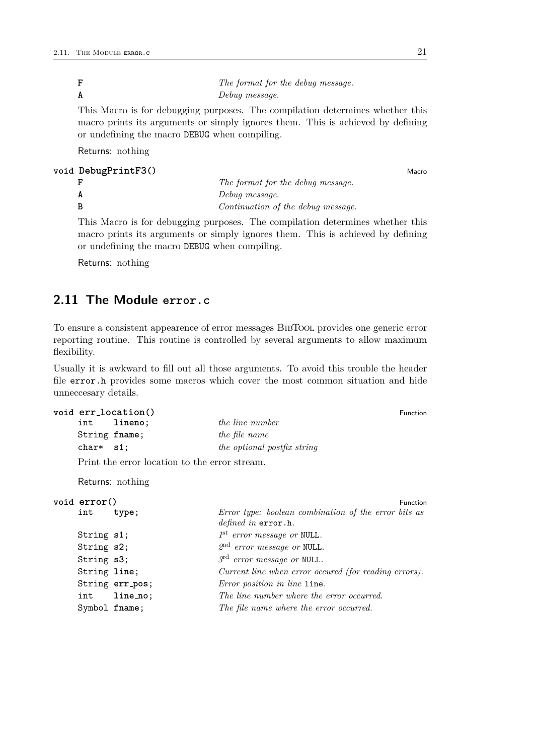**F** *The format for the debug message.* **A** *Debug message.*

This Macro is for debugging purposes. The compilation determines whether this macro prints its arguments or simply ignores them. This is achieved by defining or undefining the macro DEBUG when compiling.

Returns: nothing

# **void DebugPrintF3()** Macro

| The format for the debug message.  |
|------------------------------------|
| Debug message.                     |
| Continuation of the debug message. |

This Macro is for debugging purposes. The compilation determines whether this macro prints its arguments or simply ignores them. This is achieved by defining or undefining the macro DEBUG when compiling.

Returns: nothing

# <span id="page-20-0"></span>**2.11 The Module error.c**

To ensure a consistent appearence of error messages BibTool provides one generic error reporting routine. This routine is controlled by several arguments to allow maximum flexibility.

Usually it is awkward to fill out all those arguments. To avoid this trouble the header file error.h provides some macros which cover the most common situation and hide unneccesary details.

```
void err location() Function
   int lineno; the line number
  String fname; the file name
   char* s1; the optional postfix string
```
Print the error location to the error stream.

Returns: nothing

```
void error() Function
    int type; Error type: boolean combination of the error bits as
                             defined in error.h.
    String s1; 1
                             st error message or NULL.
    String s2; 2
                             nd error message or NULL.
    String s3; 3
                             rd error message or NULL.
    String line; Current line when error occured (for reading errors).
    String err pos; Error position in line line.
    int line no; The line number where the error occurred.
    Symbol fname; The file name where the error occurred.
```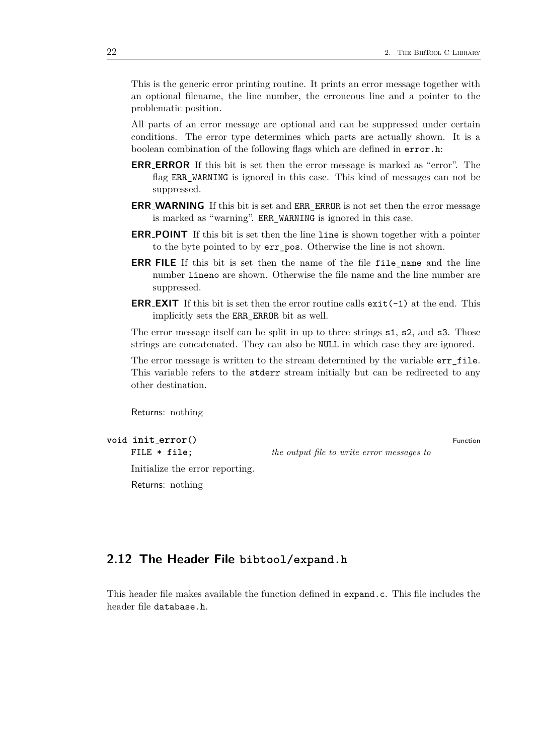This is the generic error printing routine. It prints an error message together with an optional filename, the line number, the erroneous line and a pointer to the problematic position.

All parts of an error message are optional and can be suppressed under certain conditions. The error type determines which parts are actually shown. It is a boolean combination of the following flags which are defined in error.h:

- **ERR ERROR** If this bit is set then the error message is marked as "error". The flag ERR\_WARNING is ignored in this case. This kind of messages can not be suppressed.
- **ERR WARNING** If this bit is set and ERR\_ERROR is not set then the error message is marked as "warning". ERR\_WARNING is ignored in this case.
- **ERR POINT** If this bit is set then the line line is shown together with a pointer to the byte pointed to by err\_pos. Otherwise the line is not shown.
- **ERR\_FILE** If this bit is set then the name of the file file name and the line number lineno are shown. Otherwise the file name and the line number are suppressed.
- **ERR\_EXIT** If this bit is set then the error routine calls  $exit(-1)$  at the end. This implicitly sets the ERR\_ERROR bit as well.

The error message itself can be split in up to three strings s1, s2, and s3. Those strings are concatenated. They can also be NULL in which case they are ignored.

The error message is written to the stream determined by the variable err\_file. This variable refers to the stderr stream initially but can be redirected to any other destination.

Returns: nothing

# **void**  $\text{init\_error}()$  Function

FILE \* **file**; *the output file to write error messages to*

Initialize the error reporting.

Returns: nothing

# <span id="page-21-0"></span>**2.12 The Header File bibtool/expand.h**

This header file makes available the function defined in expand.c. This file includes the header file database.h.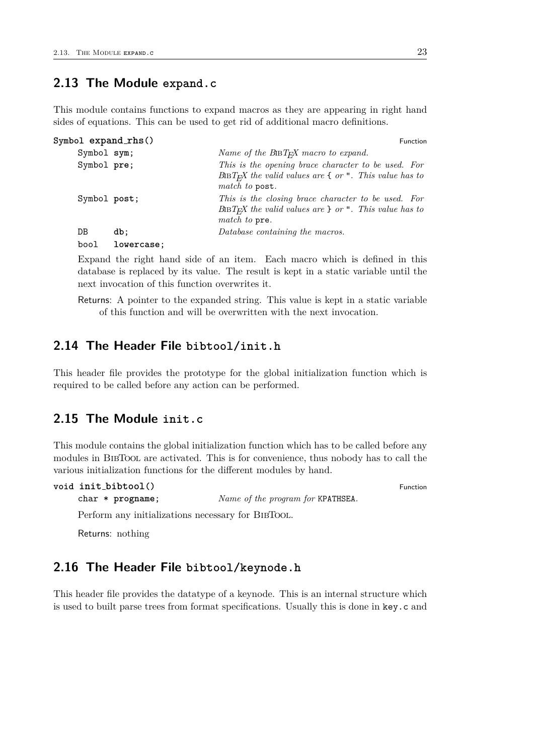# <span id="page-22-0"></span>**2.13 The Module expand.c**

This module contains functions to expand macros as they are appearing in right hand sides of equations. This can be used to get rid of additional macro definitions.

```
Symbol expand_rhs() Function
    Symbol sym; Name of the BiBT<sub>E</sub>X macro to expand.
    Symbol pre; This is the opening brace character to be used. For
                              BibTEX the valid values are { or ". This value has to
                             match to post.
    Symbol post; This is the closing brace character to be used. For
                              BibTEX the valid values are } or ". This value has to
                              match to pre.
    DB db; Database containing the macros.
    bool lowercase;
```
Expand the right hand side of an item. Each macro which is defined in this database is replaced by its value. The result is kept in a static variable until the next invocation of this function overwrites it.

Returns: A pointer to the expanded string. This value is kept in a static variable of this function and will be overwritten with the next invocation.

# <span id="page-22-1"></span>**2.14 The Header File bibtool/init.h**

This header file provides the prototype for the global initialization function which is required to be called before any action can be performed.

# <span id="page-22-2"></span>**2.15 The Module init.c**

This module contains the global initialization function which has to be called before any modules in BIBTOOL are activated. This is for convenience, thus nobody has to call the various initialization functions for the different modules by hand.

char \* **progname**; *Name of the program for* KPATHSEA*.*

```
void init bibtool() Function
```
Perform any initializations necessary for BIBTOOL.

Returns: nothing

# <span id="page-22-3"></span>**2.16 The Header File bibtool/keynode.h**

This header file provides the datatype of a keynode. This is an internal structure which is used to built parse trees from format specifications. Usually this is done in key.c and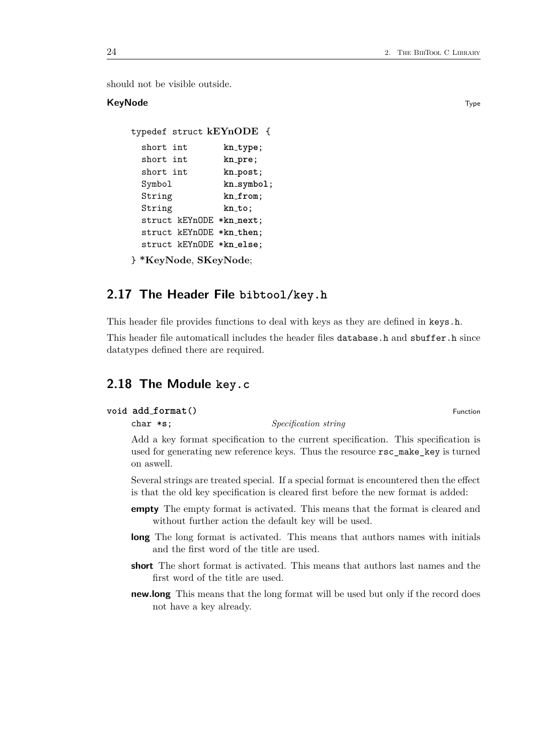should not be visible outside.

# **KeyNode** Type **Type Internal Contract Contract Contract Contract Contract Contract Contract Contract Contract Contract Contract Contract Contract Contract Contract Contract Contract Contract Contract Contract Contract Con**

```
typedef struct kEYnODE {
 short int kn type;
 short int kn pre;
 short int kn post;
 Symbol kn symbol;
 String kn from;
 String kn to;
 struct kEYnODE *kn next;
 struct kEYnODE *kn then;
 struct kEYnODE *kn else;
} *KeyNode, SKeyNode;
```
# <span id="page-23-0"></span>**2.17 The Header File bibtool/key.h**

This header file provides functions to deal with keys as they are defined in keys.h.

This header file automaticall includes the header files database.h and sbuffer.h since datatypes defined there are required.

# <span id="page-23-1"></span>**2.18 The Module key.c**

```
void add_format() Function Function
```
char \***s**; *Specification string*

Add a key format specification to the current specification. This specification is used for generating new reference keys. Thus the resource rsc\_make\_key is turned on aswell.

Several strings are treated special. If a special format is encountered then the effect is that the old key specification is cleared first before the new format is added:

- **empty** The empty format is activated. This means that the format is cleared and without further action the default key will be used.
- **long** The long format is activated. This means that authors names with initials and the first word of the title are used.
- **short** The short format is activated. This means that authors last names and the first word of the title are used.
- **new.long** This means that the long format will be used but only if the record does not have a key already.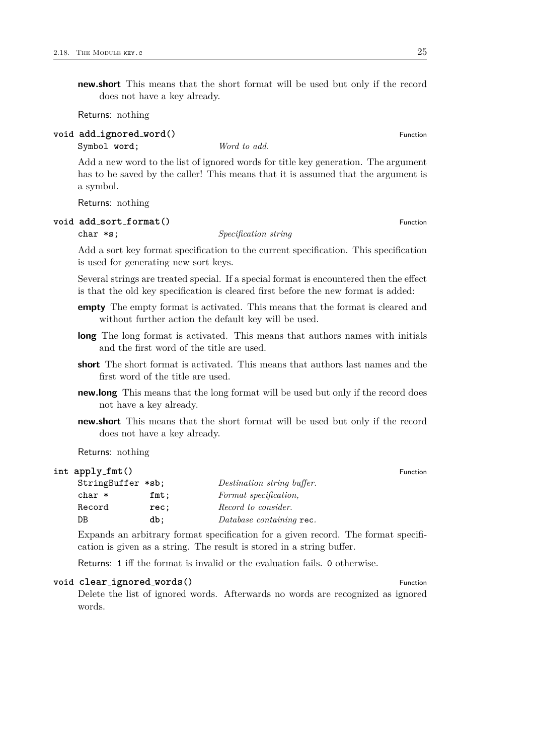**new.short** This means that the short format will be used but only if the record does not have a key already.

Returns: nothing

# **void add ignored word()** Function

Symbol **word**; *Word to add.* 

Add a new word to the list of ignored words for title key generation. The argument has to be saved by the caller! This means that it is assumed that the argument is a symbol.

Returns: nothing

#### **void add\_sort\_format()** Function

# char \***s**; *Specification string*

Add a sort key format specification to the current specification. This specification is used for generating new sort keys.

Several strings are treated special. If a special format is encountered then the effect is that the old key specification is cleared first before the new format is added:

- **empty** The empty format is activated. This means that the format is cleared and without further action the default key will be used.
- **long** The long format is activated. This means that authors names with initials and the first word of the title are used.
- **short** The short format is activated. This means that authors last names and the first word of the title are used.
- **new.long** This means that the long format will be used but only if the record does not have a key already.
- **new.short** This means that the short format will be used but only if the record does not have a key already.

Returns: nothing

### **int apply fmt()** Function

| StringBuffer *sb; | Destination string buffer. |
|-------------------|----------------------------|
| $fmt$ ;           | Format specification,      |
| rec:              | Record to consider.        |
| db:               | Database containing rec.   |
|                   |                            |

Expands an arbitrary format specification for a given record. The format specification is given as a string. The result is stored in a string buffer.

Returns: 1 iff the format is invalid or the evaluation fails. 0 otherwise.

#### **void clear\_ignored\_words()** Function

Delete the list of ignored words. Afterwards no words are recognized as ignored words.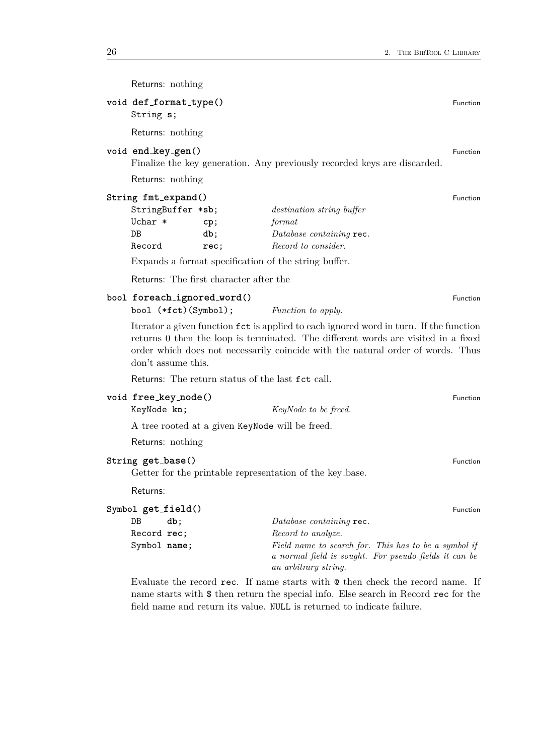| Returns: nothing                                                                                                                                                                                                                                                                       |                    |                                                                                        |          |
|----------------------------------------------------------------------------------------------------------------------------------------------------------------------------------------------------------------------------------------------------------------------------------------|--------------------|----------------------------------------------------------------------------------------|----------|
| void def_format_type()<br>String s;                                                                                                                                                                                                                                                    |                    |                                                                                        | Function |
| Returns: nothing                                                                                                                                                                                                                                                                       |                    |                                                                                        |          |
| void end_key_gen()                                                                                                                                                                                                                                                                     |                    | Finalize the key generation. Any previously recorded keys are discarded.               | Function |
| Returns: nothing                                                                                                                                                                                                                                                                       |                    |                                                                                        |          |
| String fmt_expand()<br>StringBuffer *sb;<br>Uchar *<br>$DB$<br>Record                                                                                                                                                                                                                  | cp;<br>db;<br>rec; | destination string buffer<br>format<br>Database containing rec.<br>Record to consider. | Function |
|                                                                                                                                                                                                                                                                                        |                    | Expands a format specification of the string buffer.                                   |          |
| Returns: The first character after the                                                                                                                                                                                                                                                 |                    |                                                                                        |          |
| bool foreach_ignored_word()<br>bool (*fct)(Symbol);                                                                                                                                                                                                                                    |                    | Function to apply.                                                                     | Function |
| Iterator a given function $fct$ is applied to each ignored word in turn. If the function<br>returns 0 then the loop is terminated. The different words are visited in a fixed<br>order which does not necessarily coincide with the natural order of words. Thus<br>don't assume this. |                    |                                                                                        |          |
| Returns: The return status of the last fct call.                                                                                                                                                                                                                                       |                    |                                                                                        |          |
| void free_key_node()<br>KeyNode kn;                                                                                                                                                                                                                                                    |                    | KeyNode to be freed.                                                                   | Function |
| A tree rooted at a given KeyNode will be freed.                                                                                                                                                                                                                                        |                    |                                                                                        |          |
| Returns: nothing                                                                                                                                                                                                                                                                       |                    |                                                                                        |          |
| String get_base()                                                                                                                                                                                                                                                                      |                    | Getter for the printable representation of the key base.                               | Function |
| Returns:                                                                                                                                                                                                                                                                               |                    |                                                                                        |          |
| Symbol get_field()                                                                                                                                                                                                                                                                     |                    |                                                                                        | Function |

| $100 + 100 = 100$ |     | ו שווכנוסוו                                           |
|-------------------|-----|-------------------------------------------------------|
| DB                | db: | Database containing rec.                              |
| Record rec:       |     | Record to analyze.                                    |
| Symbol name;      |     | Field name to search for. This has to be a symbol if  |
|                   |     | a normal field is sought. For pseudo fields it can be |
|                   |     | an arbitrary string.                                  |

Evaluate the record rec. If name starts with @ then check the record name. If name starts with \$ then return the special info. Else search in Record rec for the field name and return its value. NULL is returned to indicate failure.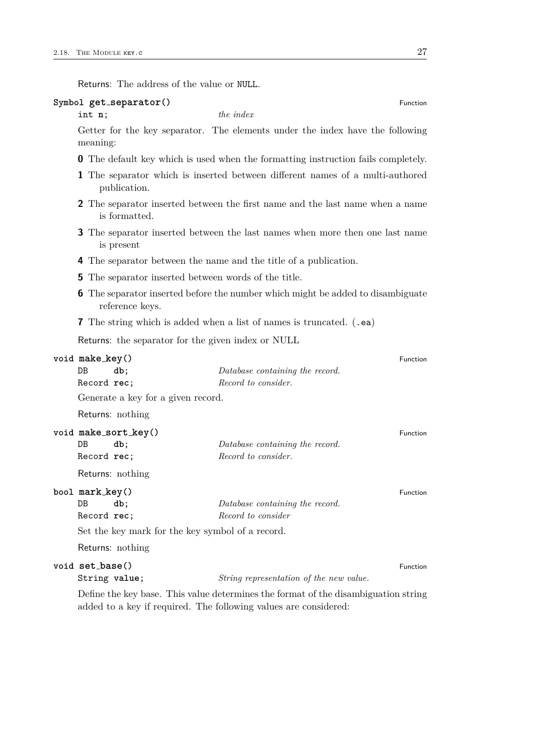| Returns: The address of the value or NULL. |                                                             |                                                                                          |          |
|--------------------------------------------|-------------------------------------------------------------|------------------------------------------------------------------------------------------|----------|
|                                            | Symbol get_separator()                                      |                                                                                          | Function |
| int n;                                     |                                                             | the <i>index</i>                                                                         |          |
| meaning:                                   |                                                             | Getter for the key separator. The elements under the index have the following            |          |
|                                            |                                                             | <b>0</b> The default key which is used when the formatting instruction fails completely. |          |
|                                            | publication.                                                | 1 The separator which is inserted between different names of a multi-authored            |          |
|                                            | is formatted.                                               | 2 The separator inserted between the first name and the last name when a name            |          |
|                                            | is present                                                  | 3 The separator inserted between the last names when more then one last name             |          |
|                                            |                                                             | 4 The separator between the name and the title of a publication.                         |          |
|                                            | <b>5</b> The separator inserted between words of the title. |                                                                                          |          |
|                                            | reference keys.                                             | <b>6</b> The separator inserted before the number which might be added to disambiguate   |          |
|                                            |                                                             | <b>7</b> The string which is added when a list of names is truncated. (.ea)              |          |
|                                            | Returns: the separator for the given index or NULL          |                                                                                          |          |
| void make_key()                            |                                                             |                                                                                          | Function |
| DB                                         | db;                                                         | Database containing the record.                                                          |          |
| Record rec;                                |                                                             | Record to consider.                                                                      |          |
|                                            | Generate a key for a given record.                          |                                                                                          |          |
|                                            | Returns: nothing                                            |                                                                                          |          |
|                                            | void make_sort_key()                                        |                                                                                          | Function |
| DB                                         | db;                                                         | Database containing the record.                                                          |          |
| Record rec;                                |                                                             | Record to consider.                                                                      |          |
|                                            | Returns: nothing                                            |                                                                                          |          |
| bool mark_key()                            |                                                             |                                                                                          | Function |
| $DB$                                       | db;                                                         | Database containing the record.                                                          |          |
| Record rec;                                |                                                             | Record to consider                                                                       |          |
|                                            | Set the key mark for the key symbol of a record.            |                                                                                          |          |
|                                            | Returns: nothing                                            |                                                                                          |          |
| void set_base()                            |                                                             |                                                                                          | Function |
| String value;                              |                                                             | String representation of the new value.                                                  |          |

Define the key base. This value determines the format of the disambiguation string added to a key if required. The following values are considered: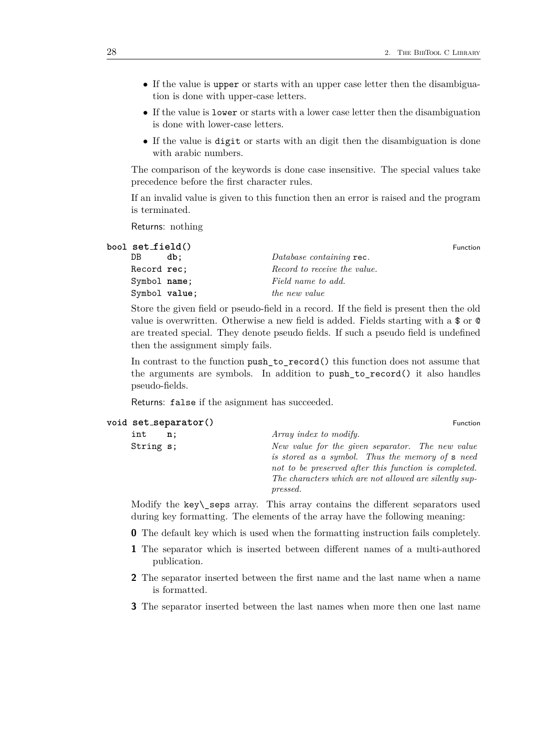- If the value is upper or starts with an upper case letter then the disambiguation is done with upper-case letters.
- If the value is lower or starts with a lower case letter then the disambiguation is done with lower-case letters.
- If the value is digit or starts with an digit then the disambiguation is done with arabic numbers.

The comparison of the keywords is done case insensitive. The special values take precedence before the first character rules.

If an invalid value is given to this function then an error is raised and the program is terminated.

Returns: nothing

| bool set_field() |     |                              | Function |
|------------------|-----|------------------------------|----------|
| DB.              | db: | Database containing rec.     |          |
| Record rec:      |     | Record to receive the value. |          |
| Symbol name;     |     | Field name to add.           |          |
| Symbol value;    |     | the new value                |          |

Store the given field or pseudo-field in a record. If the field is present then the old value is overwritten. Otherwise a new field is added. Fields starting with a \$ or @ are treated special. They denote pseudo fields. If such a pseudo field is undefined then the assignment simply fails.

In contrast to the function push to record() this function does not assume that the arguments are symbols. In addition to push\_to\_record() it also handles pseudo-fields.

Returns: false if the asignment has succeeded.

|           | VOIU SEULSEPALAUUI () | <b>Function</b>                                                                                                                                                                                                                            |
|-----------|-----------------------|--------------------------------------------------------------------------------------------------------------------------------------------------------------------------------------------------------------------------------------------|
| int       | n;                    | Array index to modify.                                                                                                                                                                                                                     |
| String s; |                       | New value for the given separator. The new value<br>is stored as a symbol. Thus the memory of <b>s</b> need<br>not to be preserved after this function is completed.<br>The characters which are not allowed are silently sup-<br>pressed. |

**void set separator()** Function

Modify the key\\_seps array. This array contains the different separators used during key formatting. The elements of the array have the following meaning:

- **0** The default key which is used when the formatting instruction fails completely.
- **1** The separator which is inserted between different names of a multi-authored publication.
- **2** The separator inserted between the first name and the last name when a name is formatted.
- **3** The separator inserted between the last names when more then one last name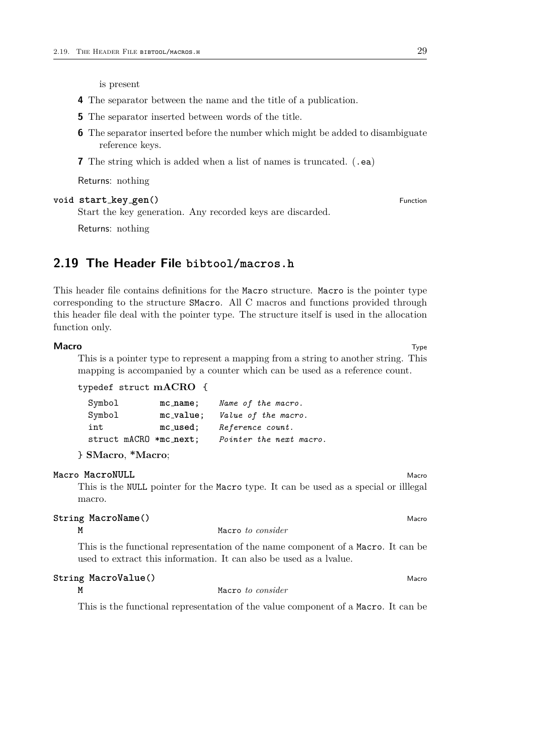is present

- **4** The separator between the name and the title of a publication.
- **5** The separator inserted between words of the title.
- **6** The separator inserted before the number which might be added to disambiguate reference keys.
- **7** The string which is added when a list of names is truncated. (.ea)

Returns: nothing

# **void start key\_gen**() Function

Start the key generation. Any recorded keys are discarded.

Returns: nothing

# <span id="page-28-0"></span>**2.19 The Header File bibtool/macros.h**

This header file contains definitions for the Macro structure. Macro is the pointer type corresponding to the structure SMacro. All C macros and functions provided through this header file deal with the pointer type. The structure itself is used in the allocation function only.

#### **Macro** Type

This is a pointer type to represent a mapping from a string to another string. This mapping is accompanied by a counter which can be used as a reference count.

```
typedef struct mACRO {
```

| Symbol                 | $mc_name$ ;  | Name of the macro.      |
|------------------------|--------------|-------------------------|
| Symbol                 | $mc_value$ ; | Value of the macro.     |
| int                    | $mc$ -used;  | Reference count.        |
| struct mACRO *mc_next; |              | Pointer the next macro. |
|                        |              |                         |

} **SMacro**, **\*Macro**;

# **Macro MacroNULL** Macro**NULL** MacroNULL MacroNULL MacroNULL MacroNULL MacroNULL MacroNULL MacroNull MacroNull Macro

This is the NULL pointer for the Macro type. It can be used as a special or illlegal macro.

# **String MacroName**() and the contract of the contract of the contract of the contract of the contract of the contract of the contract of the contract of the contract of the contract of the contract of the contract of the c

```
M Macro to consider
```
This is the functional representation of the name component of a Macro. It can be used to extract this information. It can also be used as a lvalue.

#### **String MacroValue()** MacroValue **()** Macro

**M** Macro *to consider*

This is the functional representation of the value component of a Macro. It can be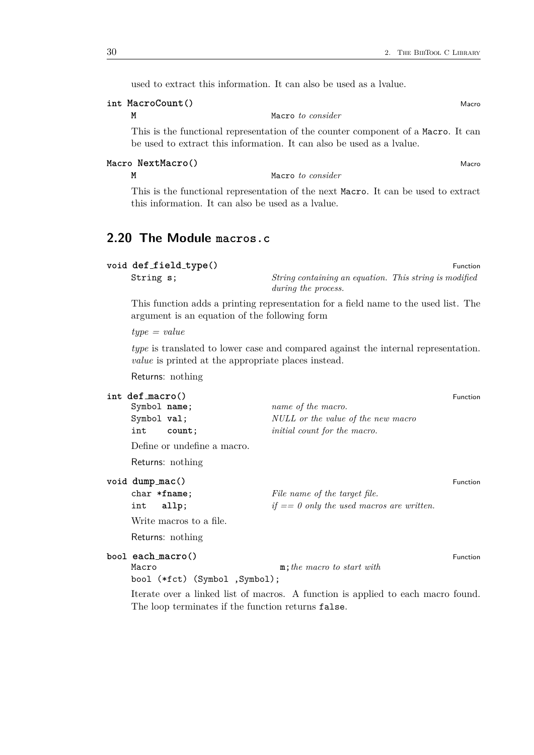used to extract this information. It can also be used as a lvalue.

# **int MacroCount** () Macro**Count** () Macro

**M** Macro *to consider*

This is the functional representation of the counter component of a Macro. It can be used to extract this information. It can also be used as a lvalue.

# **Macro NextMacro()** Macro

**M** Macro *to consider*

This is the functional representation of the next Macro. It can be used to extract this information. It can also be used as a lvalue.

# <span id="page-29-0"></span>**2.20 The Module macros.c**

| void def_field_type() |                                                        | Function |
|-----------------------|--------------------------------------------------------|----------|
| String s;             | String containing an equation. This string is modified |          |
|                       | during the process.                                    |          |

This function adds a printing representation for a field name to the used list. The argument is an equation of the following form

*type = value*

*type* is translated to lower case and compared against the internal representation. *value* is printed at the appropriate places instead.

Returns: nothing

| int def macro()                |                                                    |                                                                                  | Function |  |
|--------------------------------|----------------------------------------------------|----------------------------------------------------------------------------------|----------|--|
| Symbol name;                   |                                                    | name of the macro.                                                               |          |  |
| Symbol val;                    |                                                    | NULL or the value of the new macro                                               |          |  |
| int                            | count;                                             | initial count for the macro.                                                     |          |  |
|                                | Define or undefine a macro.                        |                                                                                  |          |  |
|                                | Returns: nothing                                   |                                                                                  |          |  |
| $void dump_mac()$              |                                                    |                                                                                  | Function |  |
| $char * frame;$                |                                                    | File name of the target file.                                                    |          |  |
| int                            | allp;                                              | $if == 0$ only the used macros are written.                                      |          |  |
|                                | Write macros to a file.                            |                                                                                  |          |  |
|                                | Returns: nothing                                   |                                                                                  |          |  |
| bool each_macro()              |                                                    |                                                                                  | Function |  |
| Macro                          |                                                    | $\mathbf{m}$ ; the macro to start with                                           |          |  |
| bool (*fct) (Symbol , Symbol); |                                                    |                                                                                  |          |  |
|                                | The loop terminates if the function returns false. | Iterate over a linked list of macros. A function is applied to each macro found. |          |  |
|                                |                                                    |                                                                                  |          |  |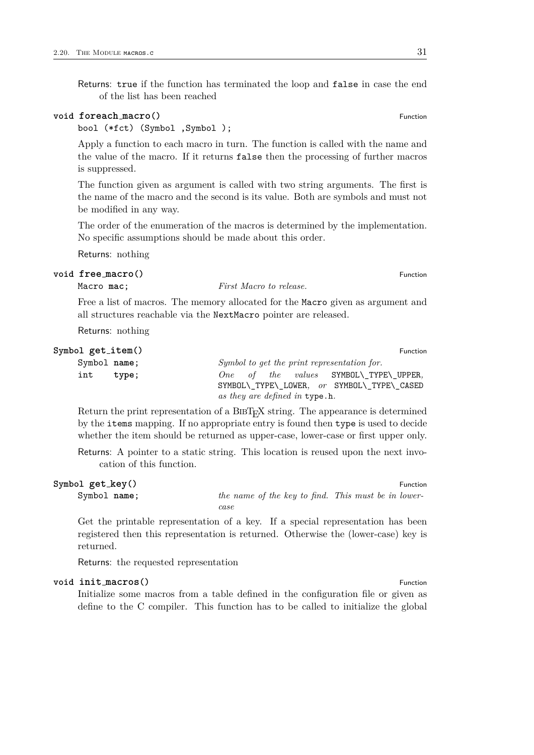Returns: true if the function has terminated the loop and false in case the end of the list has been reached

### **void foreach** macro $()$  **Function**

bool (\*fct) (Symbol ,Symbol );

Apply a function to each macro in turn. The function is called with the name and the value of the macro. If it returns false then the processing of further macros is suppressed.

The function given as argument is called with two string arguments. The first is the name of the macro and the second is its value. Both are symbols and must not be modified in any way.

The order of the enumeration of the macros is determined by the implementation. No specific assumptions should be made about this order.

Returns: nothing

# **void**  $\text{free\_macro}()$  Function

Macro **mac**; *First Macro to release.*

Free a list of macros. The memory allocated for the Macro given as argument and all structures reachable via the NextMacro pointer are released.

Returns: nothing

| Symbol $get\_item()$ | Function                                                                              |
|----------------------|---------------------------------------------------------------------------------------|
| Symbol name;         | Symbol to get the print representation for.                                           |
| int<br>type;         | One of the values SYMBOL\ TYPE\ UPPER,<br>SYMBOL\ TYPE\ LOWER, or SYMBOL\ TYPE\ CASED |
|                      | as they are defined in type.h.                                                        |

Return the print representation of a BIBT<sub>E</sub>X string. The appearance is determined by the items mapping. If no appropriate entry is found then type is used to decide whether the item should be returned as upper-case, lower-case or first upper only.

Returns: A pointer to a static string. This location is reused upon the next invocation of this function.

| Symbol get_key() |                                                     | Function |
|------------------|-----------------------------------------------------|----------|
| Symbol name;     | the name of the key to find. This must be in lower- |          |
|                  | case                                                |          |

Get the printable representation of a key. If a special representation has been registered then this representation is returned. Otherwise the (lower-case) key is returned.

Returns: the requested representation

# **void init macros**() Function

Initialize some macros from a table defined in the configuration file or given as define to the C compiler. This function has to be called to initialize the global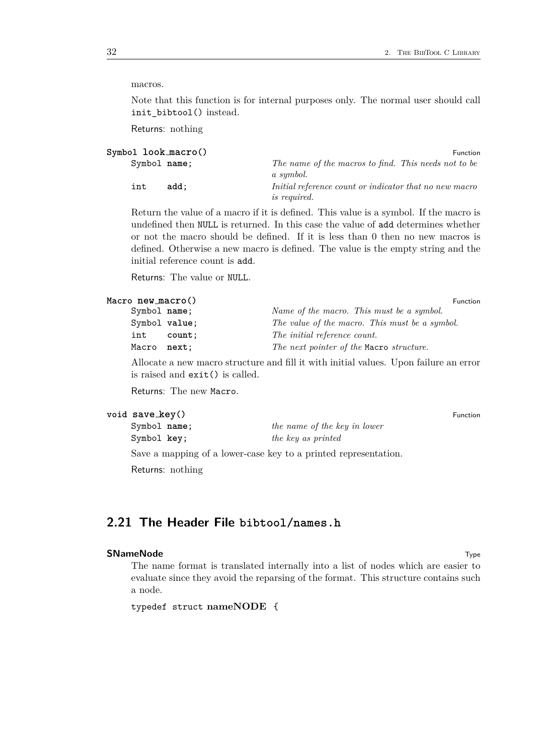macros.

Note that this function is for internal purposes only. The normal user should call init\_bibtool() instead.

Returns: nothing

| Symbol look_macro() | <b>Function</b>                                                               |
|---------------------|-------------------------------------------------------------------------------|
| Symbol name;        | The name of the macros to find. This needs not to be<br>a symbol.             |
| add:<br>int         | Initial reference count or indicator that no new macro<br><i>is required.</i> |

Return the value of a macro if it is defined. This value is a symbol. If the macro is undefined then NULL is returned. In this case the value of add determines whether or not the macro should be defined. If it is less than 0 then no new macros is defined. Otherwise a new macro is defined. The value is the empty string and the initial reference count is add.

Returns: The value or NULL.

|        |                                                             | <b>Function</b> |
|--------|-------------------------------------------------------------|-----------------|
|        | Name of the macro. This must be a symbol.                   |                 |
|        | The value of the macro. This must be a symbol.              |                 |
| count: | The initial reference count.                                |                 |
|        | The next pointer of the Macro structure.                    |                 |
|        | Macro new_macro()<br>Symbol name;<br>Symbol value;<br>next: |                 |

Allocate a new macro structure and fill it with initial values. Upon failure an error is raised and exit() is called.

Returns: The new Macro.

| void save_key() | Function |
|-----------------|----------|
|                 |          |

| Symbol name; | the name of the key in lower |
|--------------|------------------------------|
| Symbol key;  | the key as printed           |
|              |                              |

Save a mapping of a lower-case key to a printed representation.

Returns: nothing

# <span id="page-31-0"></span>**2.21 The Header File bibtool/names.h**

# **SNameNode** Type **The Contract of the Contract of the Contract of Type** *Type* **Type <b>Type Type Type Type Type**

The name format is translated internally into a list of nodes which are easier to evaluate since they avoid the reparsing of the format. This structure contains such a node.

typedef struct **nameNODE** {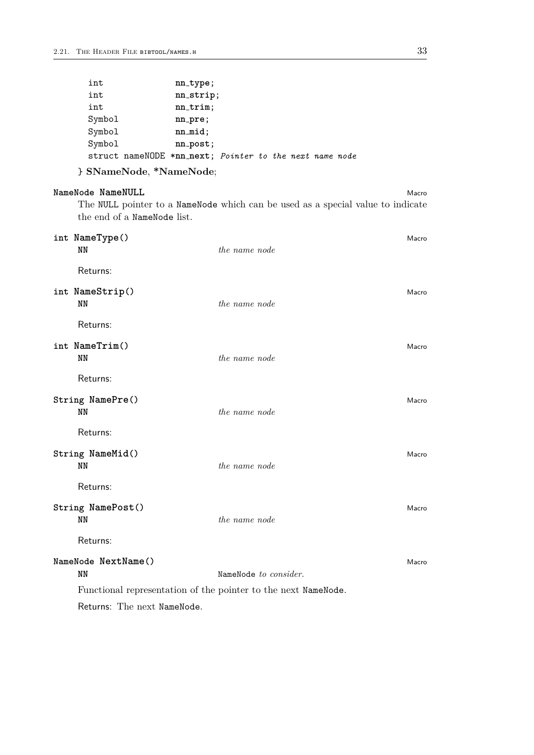| int                                                     | $nn_type;$   |  |  |  |
|---------------------------------------------------------|--------------|--|--|--|
| int                                                     | nn_strip;    |  |  |  |
| int                                                     | $nn-trim;$   |  |  |  |
| Symbol                                                  | $nn\_pre;$   |  |  |  |
| Symbol                                                  | $nn$ $mid$ : |  |  |  |
| Symbol                                                  | $nn\_post;$  |  |  |  |
| struct nameNODE *nn_next; Pointer to the next name node |              |  |  |  |

} **SNameNode**, **\*NameNode**;

| NameNode NameNULL                                                               | Macro |
|---------------------------------------------------------------------------------|-------|
| The NULL pointer to a NameNode which can be used as a special value to indicate |       |
| the end of a NameNode list.                                                     |       |

| int NameType()<br><b>NN</b>                                    | the name node         | Macro |
|----------------------------------------------------------------|-----------------------|-------|
| Returns:                                                       |                       |       |
| int NameStrip()<br>NN                                          | the name node         | Macro |
| Returns:                                                       |                       |       |
| int NameTrim()<br><b>NN</b>                                    | the name node         | Macro |
| Returns:                                                       |                       |       |
| String NamePre()<br>NN                                         | the name node         | Macro |
| Returns:                                                       |                       |       |
| String NameMid()<br><b>NN</b>                                  | the name node         | Macro |
| Returns:                                                       |                       |       |
| String NamePost()<br><b>NN</b>                                 | the name node         | Macro |
| Returns:                                                       |                       |       |
| NameNode NextName()<br><b>NN</b>                               | NameNode to consider. | Macro |
| Functional representation of the pointer to the next NameNode. |                       |       |
| Returns: The next NameNode.                                    |                       |       |
|                                                                |                       |       |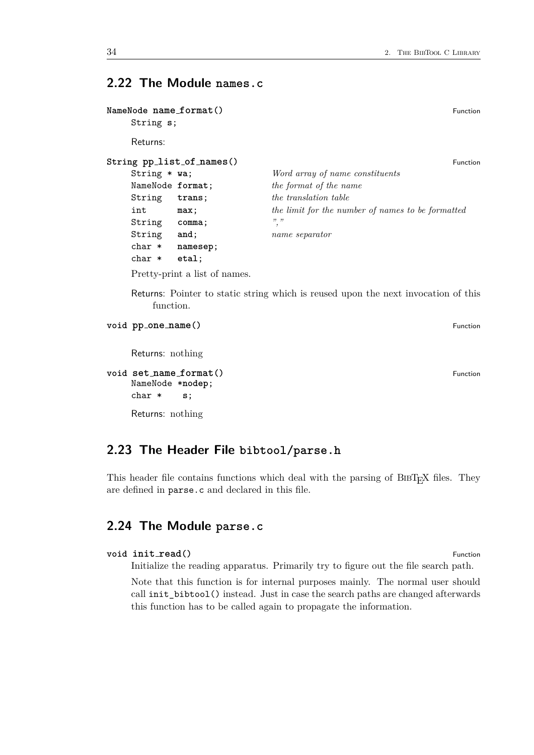# <span id="page-33-0"></span>**2.22 The Module names.c**

| String s;        | NameNode name_format()        | <b>Function</b>                                   |
|------------------|-------------------------------|---------------------------------------------------|
| Returns:         |                               |                                                   |
|                  | String pp_list_of_names()     | <b>Eunction</b>                                   |
| String $*$ wa;   |                               | Word array of name constituents                   |
| NameNode format; |                               | the format of the name                            |
| String           | trans;                        | the translation table                             |
| int              | max;                          | the limit for the number of names to be formatted |
| String           | comma;                        |                                                   |
| String           | and;                          | name separator                                    |
| $char *$         | namesep;                      |                                                   |
| $char *$         | etal:                         |                                                   |
|                  | Pretty-print a list of names. |                                                   |

Returns: Pointer to static string which is reused upon the next invocation of this function.

```
void pp one name() Function
```
Returns: nothing

```
void set name format() Function
  NameNode *nodep;
  char * s;
```
Returns: nothing

# <span id="page-33-1"></span>**2.23 The Header File bibtool/parse.h**

This header file contains functions which deal with the parsing of BIBT<sub>E</sub>X files. They are defined in parse.c and declared in this file.

# <span id="page-33-2"></span>**2.24 The Module parse.c**

```
void \text{init\_read}() Function
```
Initialize the reading apparatus. Primarily try to figure out the file search path.

Note that this function is for internal purposes mainly. The normal user should call init\_bibtool() instead. Just in case the search paths are changed afterwards this function has to be called again to propagate the information.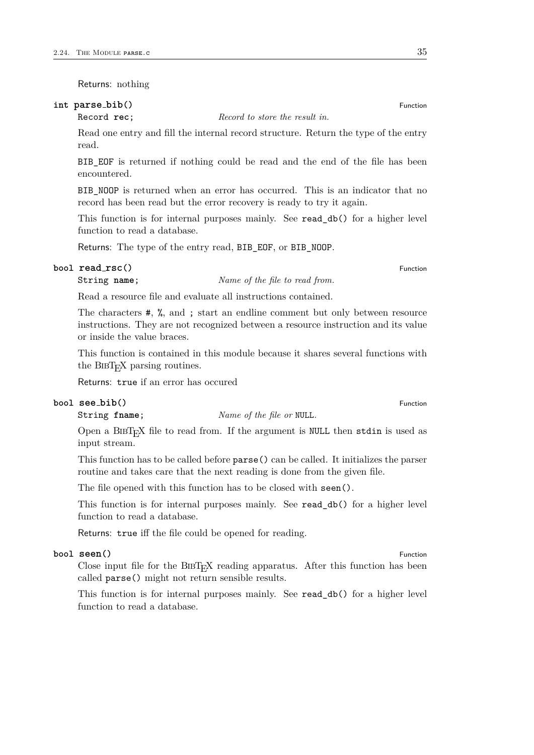Returns: nothing

# **int parse bib()** Function

Record **rec**; *Record to store the result in.*

Read one entry and fill the internal record structure. Return the type of the entry read.

BIB EOF is returned if nothing could be read and the end of the file has been encountered.

BIB\_NOOP is returned when an error has occurred. This is an indicator that no record has been read but the error recovery is ready to try it again.

This function is for internal purposes mainly. See read\_db() for a higher level function to read a database.

Returns: The type of the entry read, BIB EOF, or BIB NOOP.

# **bool read\_rsc()** Function

# String **name**; *Name of the file to read from.*

Read a resource file and evaluate all instructions contained.

The characters #, %, and ; start an endline comment but only between resource instructions. They are not recognized between a resource instruction and its value or inside the value braces.

This function is contained in this module because it shares several functions with the BIBT<sub>E</sub>X parsing routines.

Returns: true if an error has occured

#### **bool**  $\texttt{see\_bib()}$  Function

String **fname**; *Name of the file or* NULL*.*

Open a  $BIBT<sub>FA</sub>X$  file to read from. If the argument is NULL then stdin is used as input stream.

This function has to be called before parse() can be called. It initializes the parser routine and takes care that the next reading is done from the given file.

The file opened with this function has to be closed with seen().

This function is for internal purposes mainly. See read\_db() for a higher level function to read a database.

Returns: true iff the file could be opened for reading.

### **bool seen**() Function **Function**

Close input file for the  $BIBT_FX$  reading apparatus. After this function has been called parse() might not return sensible results.

This function is for internal purposes mainly. See read\_db() for a higher level function to read a database.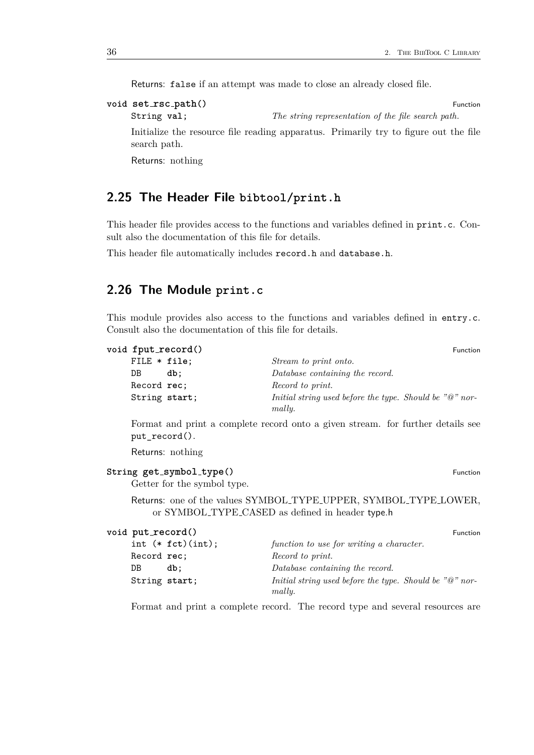Returns: false if an attempt was made to close an already closed file.

```
void set rsc path() Function
```
String **val**; *The string representation of the file search path.*

Initialize the resource file reading apparatus. Primarily try to figure out the file search path.

Returns: nothing

# <span id="page-35-0"></span>**2.25 The Header File bibtool/print.h**

This header file provides access to the functions and variables defined in print.c. Consult also the documentation of this file for details.

This header file automatically includes record.h and database.h.

# <span id="page-35-1"></span>**2.26 The Module print.c**

This module provides also access to the functions and variables defined in entry.c. Consult also the documentation of this file for details.

| void fput_record() | <b>Function</b>                                                       |
|--------------------|-----------------------------------------------------------------------|
| FILE $*$ file;     | Stream to print onto.                                                 |
| DB.<br>db:         | Database containing the record.                                       |
| Record rec;        | Record to print.                                                      |
| String start;      | Initial string used before the type. Should be " $@$ " nor-<br>mally. |

Format and print a complete record onto a given stream. for further details see put\_record().

Returns: nothing

```
String get symbol type() Function
```
Getter for the symbol type.

Returns: one of the values SYMBOL TYPE UPPER, SYMBOL TYPE LOWER, or SYMBOL TYPE CASED as defined in header type.h

| void put_record()     | Function                                                                       |
|-----------------------|--------------------------------------------------------------------------------|
| int $(*$ $fct)(int);$ | function to use for writing a character.                                       |
| Record rec;           | Record to print.                                                               |
| DB<br>db:             | Database containing the record.                                                |
| String start;         | Initial string used before the type. Should be " $\mathbb{Q}$ " nor-<br>mally. |

Format and print a complete record. The record type and several resources are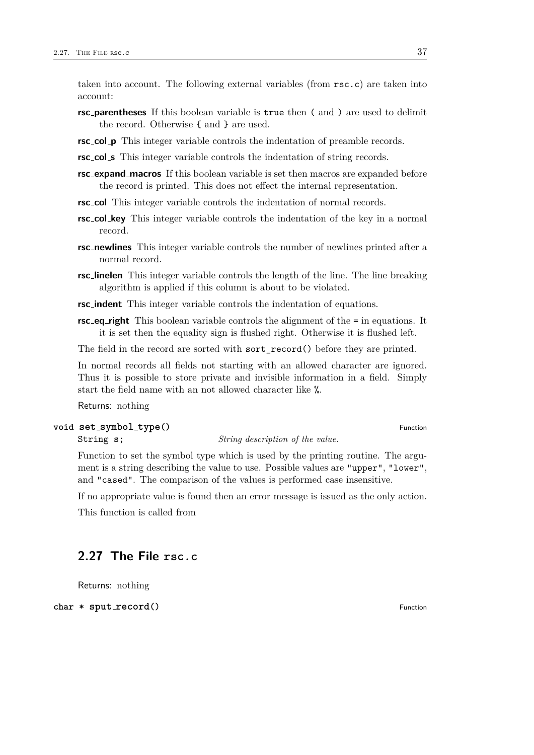taken into account. The following external variables (from rsc.c) are taken into account:

- **rsc parentheses** If this boolean variable is true then ( and ) are used to delimit the record. Otherwise { and } are used.
- **rsc col p** This integer variable controls the indentation of preamble records.
- **rsc col s** This integer variable controls the indentation of string records.
- **rsc expand macros** If this boolean variable is set then macros are expanded before the record is printed. This does not effect the internal representation.
- **rsc col** This integer variable controls the indentation of normal records.
- **rsc col key** This integer variable controls the indentation of the key in a normal record.
- **rsc newlines** This integer variable controls the number of newlines printed after a normal record.
- **rsc linelen** This integer variable controls the length of the line. The line breaking algorithm is applied if this column is about to be violated.
- **rsc indent** This integer variable controls the indentation of equations.
- **rsc eq right** This boolean variable controls the alignment of the = in equations. It it is set then the equality sign is flushed right. Otherwise it is flushed left.

The field in the record are sorted with sort\_record() before they are printed.

In normal records all fields not starting with an allowed character are ignored. Thus it is possible to store private and invisible information in a field. Simply start the field name with an not allowed character like %.

Returns: nothing

# **void set symbol type()** Function

String **s**; *String description of the value.*

Function to set the symbol type which is used by the printing routine. The argument is a string describing the value to use. Possible values are "upper", "lower", and "cased". The comparison of the values is performed case insensitive.

If no appropriate value is found then an error message is issued as the only action.

This function is called from

# <span id="page-36-0"></span>**2.27 The File rsc.c**

Returns: nothing

**char \* sput**  $\text{recond}()$  Function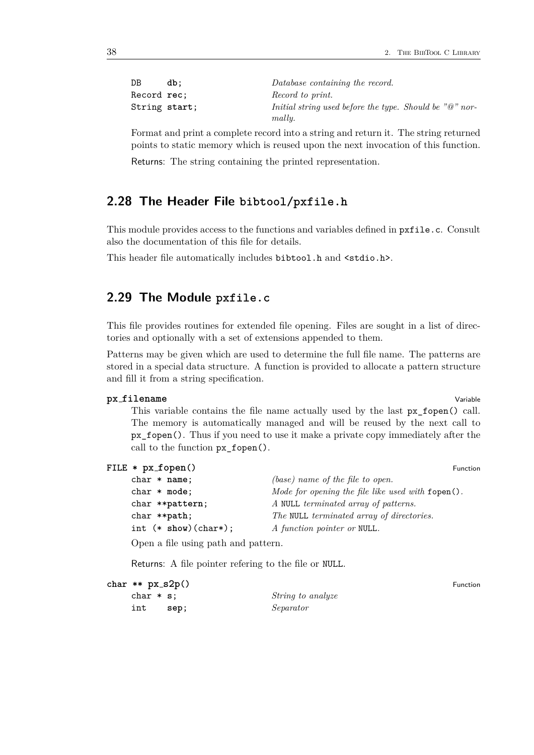| DB            | db: | Database containing the record.                                       |
|---------------|-----|-----------------------------------------------------------------------|
| Record rec:   |     | Record to print.                                                      |
| String start; |     | Initial string used before the type. Should be " $@$ " nor-<br>mally. |

Format and print a complete record into a string and return it. The string returned points to static memory which is reused upon the next invocation of this function.

Returns: The string containing the printed representation.

# <span id="page-37-0"></span>**2.28 The Header File bibtool/pxfile.h**

This module provides access to the functions and variables defined in pxfile.c. Consult also the documentation of this file for details.

This header file automatically includes bibtool.h and <stdio.h>.

# <span id="page-37-1"></span>**2.29 The Module pxfile.c**

This file provides routines for extended file opening. Files are sought in a list of directories and optionally with a set of extensions appended to them.

Patterns may be given which are used to determine the full file name. The patterns are stored in a special data structure. A function is provided to allocate a pattern structure and fill it from a string specification.

#### **px** filename Variable

This variable contains the file name actually used by the last px\_fopen() call. The memory is automatically managed and will be reused by the next call to px\_fopen(). Thus if you need to use it make a private copy immediately after the call to the function px\_fopen().

|  | FILE $*$ px_fopen() |  | Function |
|--|---------------------|--|----------|
|--|---------------------|--|----------|

| $char * name;$                 | $(base)$ name of the file to open.                       |
|--------------------------------|----------------------------------------------------------|
| $char * mode;$                 | Mode for opening the file like used with $f$ open $()$ . |
| char **pattern;                | A NULL terminated array of patterns.                     |
| char **path;                   | The NULL terminated array of directories.                |
| int $(* \text{show})(char*)$ ; | A function pointer or NULL.                              |

Open a file using path and pattern.

Returns: A file pointer refering to the file or NULL.

| char $**$ $px_s2p()$ |      |                          | Function |
|----------------------|------|--------------------------|----------|
| $char * s:$          |      | <i>String to analyze</i> |          |
| int                  | sep: | Separator                |          |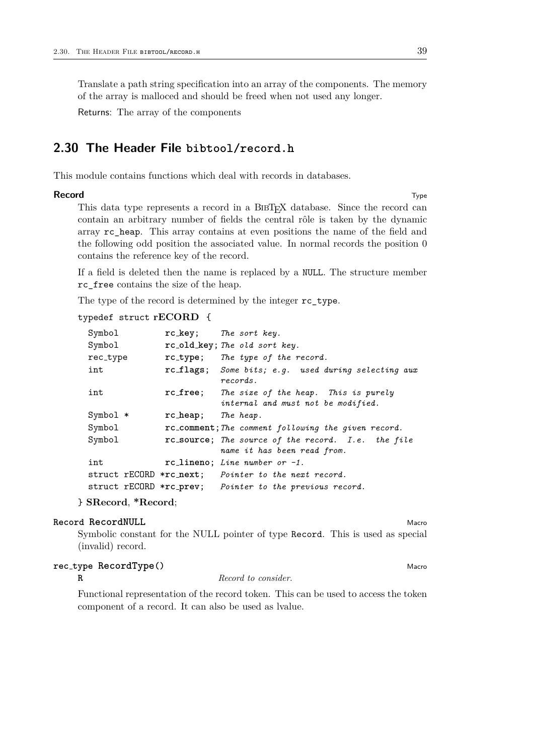Translate a path string specification into an array of the components. The memory of the array is malloced and should be freed when not used any longer.

Returns: The array of the components

# <span id="page-38-0"></span>**2.30 The Header File bibtool/record.h**

This module contains functions which deal with records in databases.

#### **Record** Type

This data type represents a record in a BIBT<sub>E</sub>X database. Since the record can contain an arbitrary number of fields the central rôle is taken by the dynamic array rc\_heap. This array contains at even positions the name of the field and the following odd position the associated value. In normal records the position 0 contains the reference key of the record.

If a field is deleted then the name is replaced by a NULL. The structure member rc\_free contains the size of the heap.

The type of the record is determined by the integer rc\_type.

#### typedef struct **rECORD** {

| Symbol   |                    | $rc\text{-}key$ ; The sort key.                                                     |
|----------|--------------------|-------------------------------------------------------------------------------------|
| Symbol   |                    | rc_old_key; The old sort key.                                                       |
| rec_type |                    | rc_type; The type of the record.                                                    |
| int      |                    | rc_flags; Some bits; e.g. used during selecting aux<br>records.                     |
| int      |                    | rc_free; The size of the heap. This is purely<br>internal and must not be modified. |
| Symbol * | rc_heap; The heap. |                                                                                     |
| Symbol   |                    | rc_comment; The comment following the given record.                                 |
| Symbol   |                    | rc_source; The source of the record. I.e. the file<br>name it has been read from.   |
| int      |                    | $rc\_lineno$ ; Line number or $-1$ .                                                |
|          |                    | struct rECORD *rc_next; Pointer to the next record.                                 |
|          |                    | struct rECORD *rc_prev; Pointer to the previous record.                             |

} **SRecord**, **\*Record**;

# **Record RecordNULL** Macro **Record Record NULL** Macro **Record RecordNULL**

Symbolic constant for the NULL pointer of type Record. This is used as special (invalid) record.

# **rec type RecordType()** Macro

**R** *Record to consider.*

Functional representation of the record token. This can be used to access the token component of a record. It can also be used as lvalue.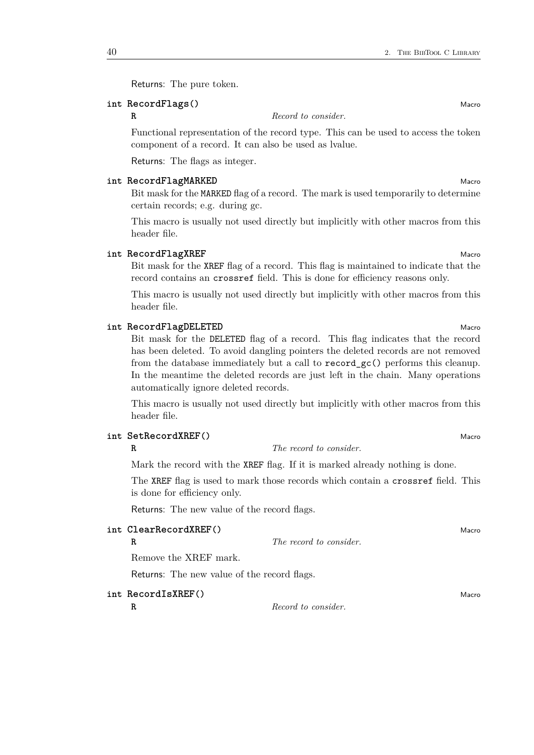Returns: The pure token.

# **int RecordFlags** () Macro

**R** *Record to consider.*

Functional representation of the record type. This can be used to access the token component of a record. It can also be used as lvalue.

Returns: The flags as integer.

#### **int** RecordFlagMARKED Macrosoft CONSERVITY Macrosoft CONSERVITY Macrosoft CONSERVITY Macro

Bit mask for the MARKED flag of a record. The mark is used temporarily to determine certain records; e.g. during gc.

This macro is usually not used directly but implicitly with other macros from this header file.

#### **int** RecordFlagXREF Macrosoft Contract Contract Contract Contract Contract Contract Contract Contract Contract Contract Contract Contract Contract Contract Contract Contract Contract Contract Contract Contract Contract Co

Bit mask for the XREF flag of a record. This flag is maintained to indicate that the record contains an crossref field. This is done for efficiency reasons only.

This macro is usually not used directly but implicitly with other macros from this header file.

#### **int** RecordFlagDELETED Macrosoft CONSERVITIES And Macrosoft CONSERVITIES And Macro

Bit mask for the DELETED flag of a record. This flag indicates that the record has been deleted. To avoid dangling pointers the deleted records are not removed from the database immediately but a call to record\_gc() performs this cleanup. In the meantime the deleted records are just left in the chain. Many operations automatically ignore deleted records.

This macro is usually not used directly but implicitly with other macros from this header file.

# **int SetRecordXREF()** Macro

# **R** *The record to consider.*

Mark the record with the XREF flag. If it is marked already nothing is done.

The XREF flag is used to mark those records which contain a crossref field. This is done for efficiency only.

Returns: The new value of the record flags.

| int ClearRecordXREF()                       |                         | Macro |
|---------------------------------------------|-------------------------|-------|
| R                                           | The record to consider. |       |
| Remove the XREF mark.                       |                         |       |
| Returns: The new value of the record flags. |                         |       |
| int RecordIsXREF()                          |                         | Macro |

**R** *Record to consider.*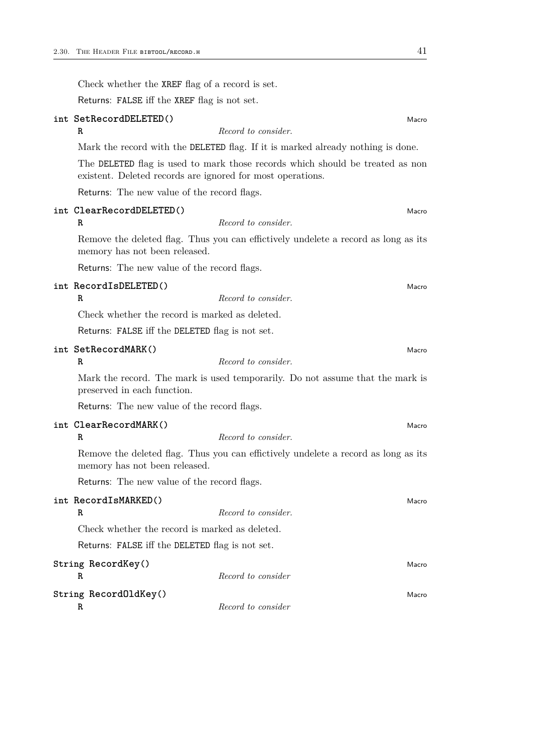Check whether the XREF flag of a record is set.

Returns: FALSE iff the XREF flag is not set.

|                         | int SetRecordDELETED()                                                                                                                      | Macro |
|-------------------------|---------------------------------------------------------------------------------------------------------------------------------------------|-------|
| R                       | Record to consider.                                                                                                                         |       |
|                         | Mark the record with the DELETED flag. If it is marked already nothing is done.                                                             |       |
|                         | The DELETED flag is used to mark those records which should be treated as non<br>existent. Deleted records are ignored for most operations. |       |
|                         | Returns: The new value of the record flags.                                                                                                 |       |
| R                       | int ClearRecordDELETED()<br>Record to consider.                                                                                             | Macro |
|                         | Remove the deleted flag. Thus you can effictively undelete a record as long as its<br>memory has not been released.                         |       |
|                         | Returns: The new value of the record flags.                                                                                                 |       |
| R                       | int RecordIsDELETED()<br>Record to consider.                                                                                                | Macro |
|                         | Check whether the record is marked as deleted.                                                                                              |       |
|                         | Returns: FALSE iff the DELETED flag is not set.                                                                                             |       |
| R                       | int SetRecordMARK()<br>Record to consider.                                                                                                  | Macro |
|                         | Mark the record. The mark is used temporarily. Do not assume that the mark is<br>preserved in each function.                                |       |
|                         | Returns: The new value of the record flags.                                                                                                 |       |
| R                       | int ClearRecordMARK()<br>Record to consider.                                                                                                | Macro |
|                         | Remove the deleted flag. Thus you can effictively undelete a record as long as its<br>memory has not been released.                         |       |
|                         | Returns: The new value of the record flags.                                                                                                 |       |
| R                       | int RecordIsMARKED()<br>Record to consider.                                                                                                 | Macro |
|                         | Check whether the record is marked as deleted.                                                                                              |       |
|                         | Returns: FALSE iff the DELETED flag is not set.                                                                                             |       |
| String RecordKey()<br>R | Record to consider                                                                                                                          | Macro |
| R                       | String RecordOldKey()<br>Record to consider                                                                                                 | Macro |
|                         |                                                                                                                                             |       |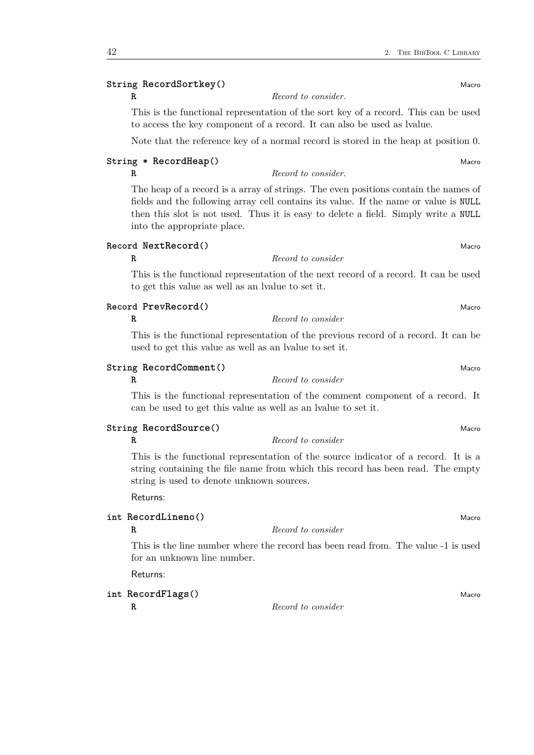# **String RecordSortkey()** Macro

**R** *Record to consider.*

This is the functional representation of the sort key of a record. This can be used to access the key component of a record. It can also be used as lvalue.

Note that the reference key of a normal record is stored in the heap at position 0.

# **String \*** RecordHeap() Macro

# **R** *Record to consider.*

The heap of a record is a array of strings. The even positions contain the names of fields and the following array cell contains its value. If the name or value is NULL then this slot is not used. Thus it is easy to delete a field. Simply write a NULL into the appropriate place.

#### **Record NextRecord()** Macro

#### **R** *Record to consider*

This is the functional representation of the next record of a record. It can be used to get this value as well as an lvalue to set it.

#### **Record PrevRecord()** Macro

# **R** *Record to consider*

This is the functional representation of the previous record of a record. It can be used to get this value as well as an lvalue to set it.

# **String RecordComment()** Macro

#### **R** *Record to consider*

This is the functional representation of the comment component of a record. It can be used to get this value as well as an lvalue to set it.

### **String** RecordSource() Macro

**R** *Record to consider*

This is the functional representation of the source indicator of a record. It is a string containing the file name from which this record has been read. The empty string is used to denote unknown sources.

# Returns:

# **int RecordLineno**() Macro

**R** *Record to consider*

This is the line number where the record has been read from. The value -1 is used for an unknown line number.

Returns:

**int RecordFlags** () Macro

**R** *Record to consider*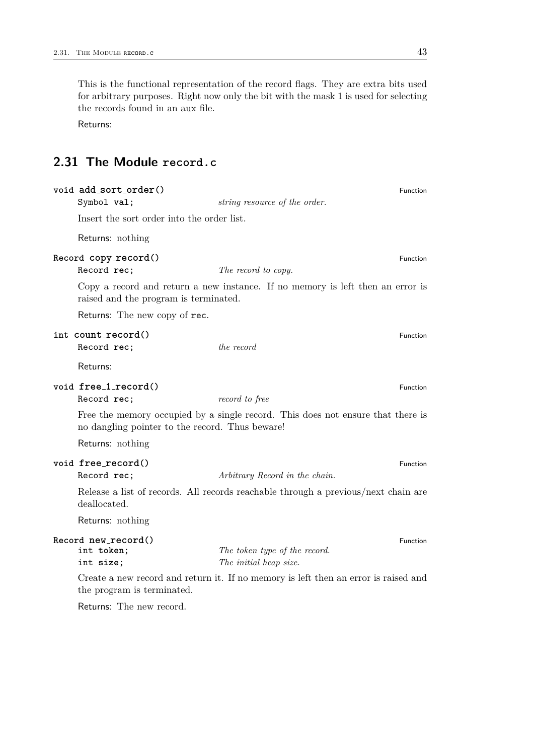This is the functional representation of the record flags. They are extra bits used for arbitrary purposes. Right now only the bit with the mask 1 is used for selecting the records found in an aux file.

Returns:

# <span id="page-42-0"></span>**2.31 The Module record.c**

| void add_sort_order()<br>Symbol val;            | string resource of the order.                                                       | Function        |
|-------------------------------------------------|-------------------------------------------------------------------------------------|-----------------|
| Insert the sort order into the order list.      |                                                                                     |                 |
| Returns: nothing                                |                                                                                     |                 |
| Record copy_record()<br>Record rec;             | The record to copy.                                                                 | <b>Function</b> |
| raised and the program is terminated.           | Copy a record and return a new instance. If no memory is left then an error is      |                 |
| Returns: The new copy of rec.                   |                                                                                     |                 |
| int count_record()<br>Record rec;               | the record                                                                          | Function        |
| Returns:                                        |                                                                                     |                 |
| void free_1_record()<br>Record rec;             | record to free                                                                      | Function        |
| no dangling pointer to the record. Thus beware! | Free the memory occupied by a single record. This does not ensure that there is     |                 |
| Returns: nothing                                |                                                                                     |                 |
| void free_record()<br>Record rec;               | Arbitrary Record in the chain.                                                      | Function        |
| deallocated.                                    | Release a list of records. All records reachable through a previous/next chain are  |                 |
| Returns: nothing                                |                                                                                     |                 |
| Record new_record()<br>int token;<br>int size;  | The token type of the record.<br>The initial heap size.                             | Function        |
| the program is terminated.                      | Create a new record and return it. If no memory is left then an error is raised and |                 |
| Returns: The new record.                        |                                                                                     |                 |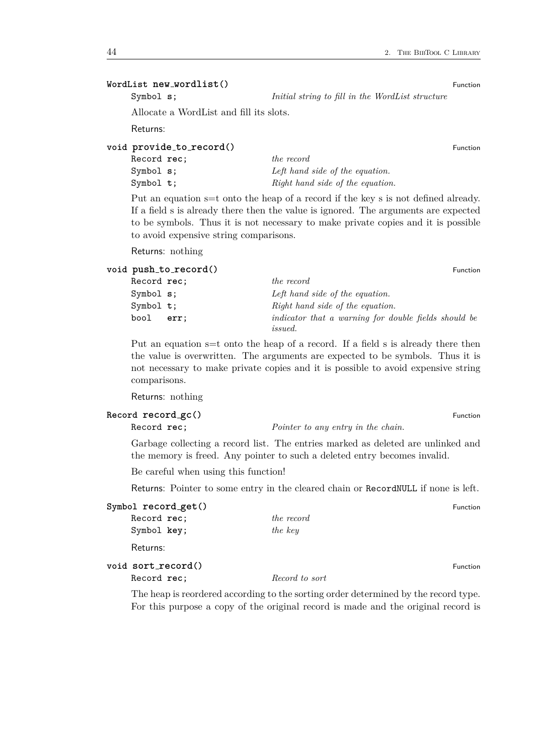# **WordList new wordlist()** Function

Symbol **s**; *Initial string to fill in the WordList structure*

Allocate a WordList and fill its slots.

Returns:

# **void provide to record()** Function

| Record rec: | the record                       |
|-------------|----------------------------------|
| Symbol s;   | Left hand side of the equation.  |
| Symbol t;   | Right hand side of the equation. |

Put an equation s=t onto the heap of a record if the key s is not defined already. If a field s is already there then the value is ignored. The arguments are expected to be symbols. Thus it is not necessary to make private copies and it is possible to avoid expensive string comparisons.

Returns: nothing

# **void**  $\text{push\_to\_record}()$  Function Record **rec**; *the record* Symbol **s**; *Left hand side of the equation.* Symbol **t**;  $Right$  *hand side of the equation.* bool **err**; *indicator that a warning for double fields should be issued.*

Put an equation s=t onto the heap of a record. If a field s is already there then the value is overwritten. The arguments are expected to be symbols. Thus it is not necessary to make private copies and it is possible to avoid expensive string comparisons.

Returns: nothing

#### **Record record\_gc()** Function

Record **rec**; *Pointer to any entry in the chain.*

Garbage collecting a record list. The entries marked as deleted are unlinked and the memory is freed. Any pointer to such a deleted entry becomes invalid.

Be careful when using this function!

Returns: Pointer to some entry in the cleared chain or RecordNULL if none is left.

# **Symbol record\_get()** Function

Record **rec**; *the record* Symbol **key**; *the key*

# Returns:

# **void sort record**() **Function**

Record **rec**; *Record to sort*

The heap is reordered according to the sorting order determined by the record type. For this purpose a copy of the original record is made and the original record is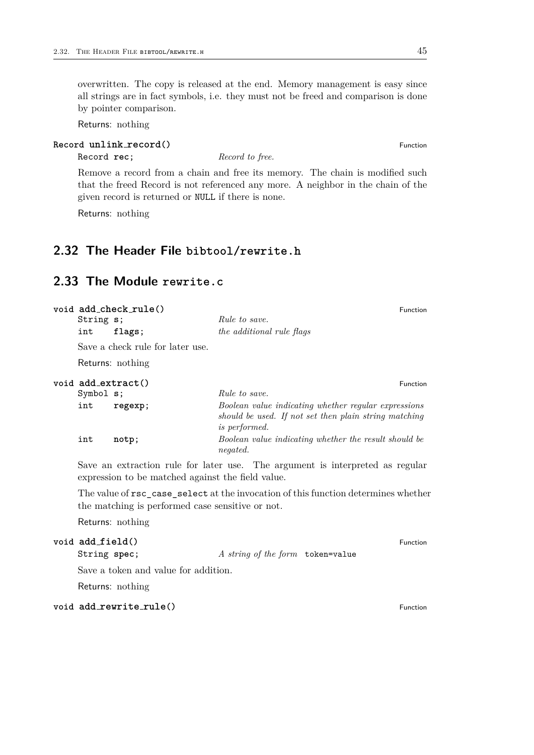# overwritten. The copy is released at the end. Memory management is easy since all strings are in fact symbols, i.e. they must not be freed and comparison is done by pointer comparison.

Returns: nothing

# **Record unlink**  $\text{record}()$  Function

Record **rec**; *Record to free.*

Remove a record from a chain and free its memory. The chain is modified such that the freed Record is not referenced any more. A neighbor in the chain of the given record is returned or NULL if there is none.

Returns: nothing

# <span id="page-44-0"></span>**2.32 The Header File bibtool/rewrite.h**

# <span id="page-44-1"></span>**2.33 The Module rewrite.c**

| String s; | void add_check_rule()            | <i>Rule to save.</i>                                                                                                                  | <b>Function</b> |
|-----------|----------------------------------|---------------------------------------------------------------------------------------------------------------------------------------|-----------------|
| int       | flags;                           | the additional rule flags                                                                                                             |                 |
|           | Save a check rule for later use. |                                                                                                                                       |                 |
|           | Returns: nothing                 |                                                                                                                                       |                 |
| Symbol s; | void add_extract()               | <i>Rule to save.</i>                                                                                                                  | <b>Function</b> |
| int       | regexp;                          | Boolean value indicating whether regular expressions<br>should be used. If not set then plain string matching<br><i>is performed.</i> |                 |
| int       | notp;                            | Boolean value indicating whether the result should be<br><i>negated.</i>                                                              |                 |
|           |                                  |                                                                                                                                       |                 |

Save an extraction rule for later use. The argument is interpreted as regular expression to be matched against the field value.

The value of rsc\_case\_select at the invocation of this function determines whether the matching is performed case sensitive or not.

Returns: nothing

# **void add field()** Function

String **spec**; *A string of the form* token=value

Save a token and value for addition.

Returns: nothing

# **void add\_rewrite\_rule()** Function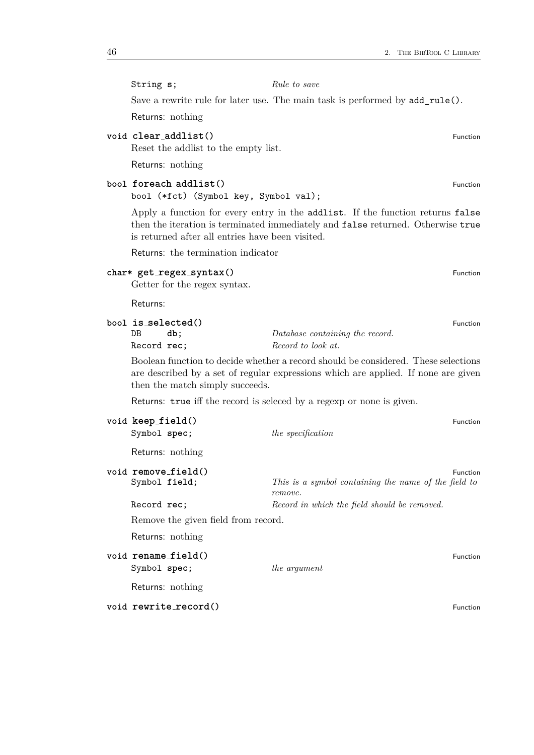String **s**; *Rule to save*

Save a rewrite rule for later use. The main task is performed by add\_rule().

Returns: nothing

# **void clear\_addlist()** Function

Reset the addlist to the empty list.

Returns: nothing

# **bool foreach addlist**() **Function**

bool (\*fct) (Symbol key, Symbol val);

Apply a function for every entry in the addlist. If the function returns false then the iteration is terminated immediately and false returned. Otherwise true is returned after all entries have been visited.

Returns: the termination indicator

# **char\* get regex syntax()** Function

Getter for the regex syntax.

Returns:

|             | bool is_selected() | Function                        |  |
|-------------|--------------------|---------------------------------|--|
| DB          | db:                | Database containing the record. |  |
| Record rec; |                    | Record to look at.              |  |

Boolean function to decide whether a record should be considered. These selections are described by a set of regular expressions which are applied. If none are given then the match simply succeeds.

Returns: true iff the record is seleced by a regexp or none is given.

| void keep_field()                    |                                                                 | Function |
|--------------------------------------|-----------------------------------------------------------------|----------|
| Symbol spec;                         | the specification                                               |          |
| Returns: nothing                     |                                                                 |          |
| void remove_field()<br>Symbol field; | This is a symbol containing the name of the field to<br>remove. | Function |
| Record rec:                          | Record in which the field should be removed.                    |          |
| Remove the given field from record.  |                                                                 |          |
| Returns: nothing                     |                                                                 |          |
| void rename_field()<br>Symbol spec;  | the argument                                                    | Function |
| Returns: nothing                     |                                                                 |          |
| void rewrite_record()                |                                                                 | Function |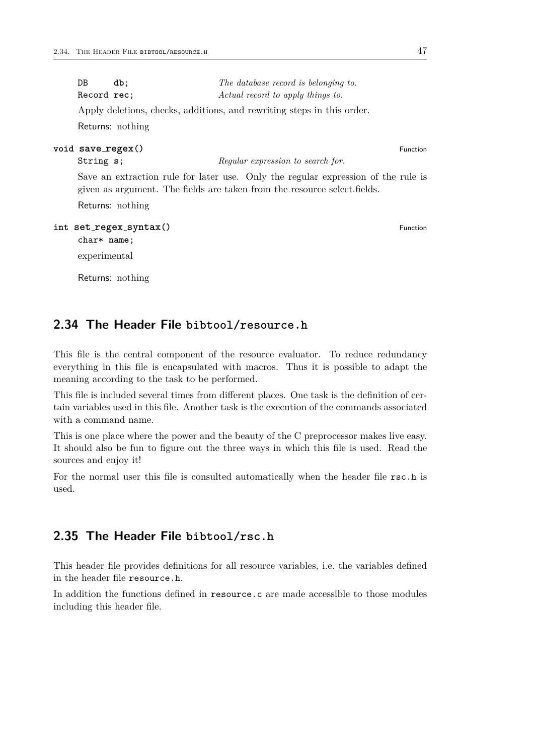| DB                | db;                    | The database record is belonging to.                                                                                                                           |          |
|-------------------|------------------------|----------------------------------------------------------------------------------------------------------------------------------------------------------------|----------|
| Record rec;       |                        | Actual record to apply things to.                                                                                                                              |          |
|                   |                        | Apply deletions, checks, additions, and rewriting steps in this order.                                                                                         |          |
|                   | Returns: nothing       |                                                                                                                                                                |          |
| void save_regex() |                        |                                                                                                                                                                | Function |
| String s;         |                        | Regular expression to search for.                                                                                                                              |          |
|                   |                        | Save an extraction rule for later use. Only the regular expression of the rule is<br>given as argument. The fields are taken from the resource select. fields. |          |
|                   | Returns: nothing       |                                                                                                                                                                |          |
| $char*$ name;     | int set_regex_syntax() |                                                                                                                                                                | Function |
| experimental      |                        |                                                                                                                                                                |          |
|                   |                        |                                                                                                                                                                |          |

Returns: nothing

# <span id="page-46-0"></span>**2.34 The Header File bibtool/resource.h**

This file is the central component of the resource evaluator. To reduce redundancy everything in this file is encapsulated with macros. Thus it is possible to adapt the meaning according to the task to be performed.

This file is included several times from different places. One task is the definition of certain variables used in this file. Another task is the execution of the commands associated with a command name.

This is one place where the power and the beauty of the C preprocessor makes live easy. It should also be fun to figure out the three ways in which this file is used. Read the sources and enjoy it!

For the normal user this file is consulted automatically when the header file rsc.h is used.

# <span id="page-46-1"></span>**2.35 The Header File bibtool/rsc.h**

This header file provides definitions for all resource variables, i.e. the variables defined in the header file resource.h.

In addition the functions defined in resource.c are made accessible to those modules including this header file.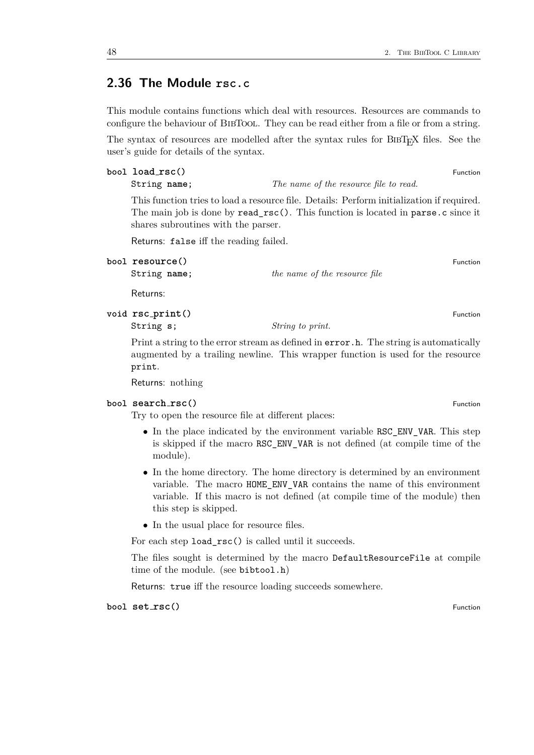# <span id="page-47-0"></span>**2.36 The Module rsc.c**

This module contains functions which deal with resources. Resources are commands to configure the behaviour of BIBTOOL. They can be read either from a file or from a string.

The syntax of resources are modelled after the syntax rules for BIBT<sub>EX</sub> files. See the user's guide for details of the syntax.

- **bool load rsc()** Function
	- String **name**; *The name of the resource file to read.*

This function tries to load a resource file. Details: Perform initialization if required. The main job is done by read\_rsc(). This function is located in parse.c since it shares subroutines with the parser.

Returns: false iff the reading failed.

String **name**; *the name of the resource file*

Returns:

**void**  $\texttt{rsc\_print}()$  Function

String **s**; *String to print.*

Print a string to the error stream as defined in  $error.h$ . The string is automatically augmented by a trailing newline. This wrapper function is used for the resource print.

Returns: nothing

#### **bool search rsc** $()$  **Function**

Try to open the resource file at different places:

- In the place indicated by the environment variable RSC\_ENV\_VAR. This step is skipped if the macro RSC\_ENV\_VAR is not defined (at compile time of the module).
- In the home directory. The home directory is determined by an environment variable. The macro HOME\_ENV\_VAR contains the name of this environment variable. If this macro is not defined (at compile time of the module) then this step is skipped.
- In the usual place for resource files.

For each step load\_rsc() is called until it succeeds.

The files sought is determined by the macro DefaultResourceFile at compile time of the module. (see bibtool.h)

Returns: true iff the resource loading succeeds somewhere.

**bool set**  $\text{rsc}(\)$ 

**bool resource**() **Function**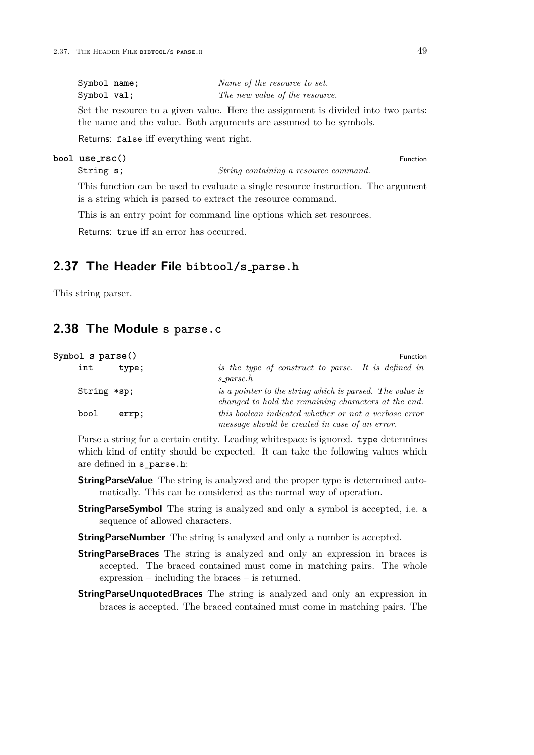| Symbol name; | Name of the resource to set.   |
|--------------|--------------------------------|
| Symbol val;  | The new value of the resource. |

Set the resource to a given value. Here the assignment is divided into two parts: the name and the value. Both arguments are assumed to be symbols.

Returns: false iff everything went right.

#### **bool use rsc()** Function

This function can be used to evaluate a single resource instruction. The argument is a string which is parsed to extract the resource command.

This is an entry point for command line options which set resources.

String **s**; *String containing a resource command.*

Returns: true iff an error has occurred.

# <span id="page-48-0"></span>**2.37 The Header File bibtool/s parse.h**

This string parser.

# <span id="page-48-1"></span>**2.38 The Module s parse.c**

| Symbol s_parse() | Function                                                                                                         |
|------------------|------------------------------------------------------------------------------------------------------------------|
| int              | is the type of construct to parse. It is defined in                                                              |
| type;            | $s$ -parse. $h$                                                                                                  |
| String *sp;      | is a pointer to the string which is parsed. The value is<br>changed to hold the remaining characters at the end. |
| bool             | this boolean indicated whether or not a verbose error                                                            |
| errp;            | message should be created in case of an error.                                                                   |

Parse a string for a certain entity. Leading whitespace is ignored. type determines which kind of entity should be expected. It can take the following values which are defined in s\_parse.h:

- **StringParseValue** The string is analyzed and the proper type is determined automatically. This can be considered as the normal way of operation.
- **StringParseSymbol** The string is analyzed and only a symbol is accepted, i.e. a sequence of allowed characters.
- **StringParseNumber** The string is analyzed and only a number is accepted.
- **StringParseBraces** The string is analyzed and only an expression in braces is accepted. The braced contained must come in matching pairs. The whole expression – including the braces – is returned.
- **StringParseUnquotedBraces** The string is analyzed and only an expression in braces is accepted. The braced contained must come in matching pairs. The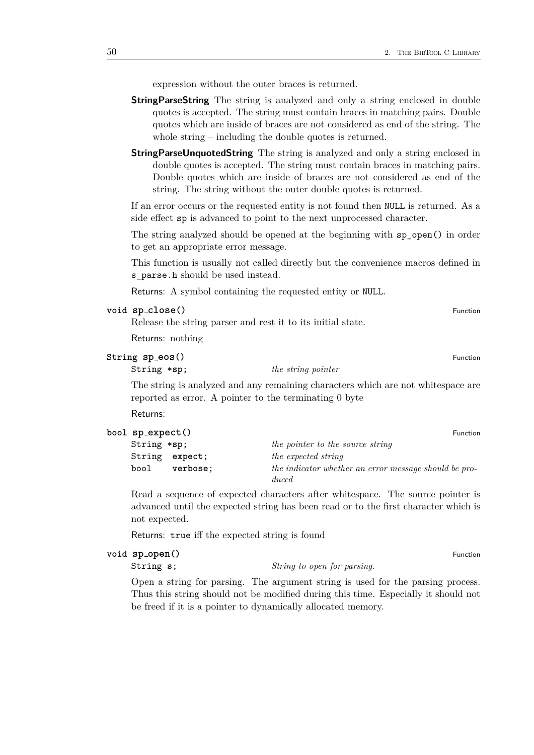expression without the outer braces is returned.

- **StringParseString** The string is analyzed and only a string enclosed in double quotes is accepted. The string must contain braces in matching pairs. Double quotes which are inside of braces are not considered as end of the string. The whole string – including the double quotes is returned.
- **StringParseUnquotedString** The string is analyzed and only a string enclosed in double quotes is accepted. The string must contain braces in matching pairs. Double quotes which are inside of braces are not considered as end of the string. The string without the outer double quotes is returned.

If an error occurs or the requested entity is not found then NULL is returned. As a side effect sp is advanced to point to the next unprocessed character.

The string analyzed should be opened at the beginning with sp\_open() in order to get an appropriate error message.

This function is usually not called directly but the convenience macros defined in s\_parse.h should be used instead.

Returns: A symbol containing the requested entity or NULL.

### **void sp close()** Function

Release the string parser and rest it to its initial state.

Returns: nothing

### **String sp\_eos()** Function

String \***sp**; *the string pointer*

The string is analyzed and any remaining characters which are not whitespace are reported as error. A pointer to the terminating 0 byte

Returns:

|  | bool sp_expect()<br>Function |                |                                                                |
|--|------------------------------|----------------|----------------------------------------------------------------|
|  | $String * sp;$               |                | the pointer to the source string                               |
|  |                              | String expect; | the expected string                                            |
|  | bool                         | verbose;       | the indicator whether an error message should be pro-<br>duced |

Read a sequence of expected characters after whitespace. The source pointer is advanced until the expected string has been read or to the first character which is not expected.

Returns: true iff the expected string is found

| void sp_open() | Function |
|----------------|----------|
|----------------|----------|

String **s**; *String to open for parsing.*

Open a string for parsing. The argument string is used for the parsing process. Thus this string should not be modified during this time. Especially it should not be freed if it is a pointer to dynamically allocated memory.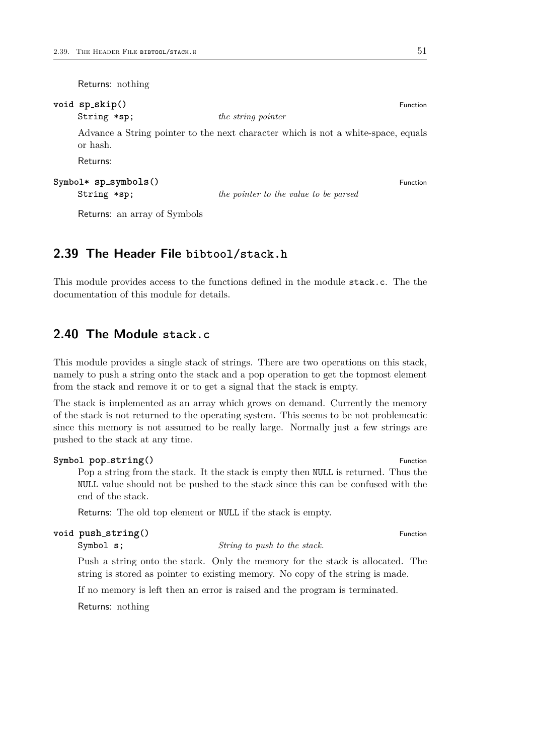Returns: nothing

| void sp_skip()<br>String *sp;         | <i>the string pointer</i>                                                         | <b>Eunction</b> |
|---------------------------------------|-----------------------------------------------------------------------------------|-----------------|
| or hash.                              | Advance a String pointer to the next character which is not a white-space, equals |                 |
| Returns:                              |                                                                                   |                 |
| $Symbol*$ sp_symbols()<br>String *sp; | the pointer to the value to be parsed                                             | Function        |

Returns: an array of Symbols

# <span id="page-50-0"></span>**2.39 The Header File bibtool/stack.h**

This module provides access to the functions defined in the module stack.c. The the documentation of this module for details.

# <span id="page-50-1"></span>**2.40 The Module stack.c**

This module provides a single stack of strings. There are two operations on this stack, namely to push a string onto the stack and a pop operation to get the topmost element from the stack and remove it or to get a signal that the stack is empty.

The stack is implemented as an array which grows on demand. Currently the memory of the stack is not returned to the operating system. This seems to be not problemeatic since this memory is not assumed to be really large. Normally just a few strings are pushed to the stack at any time.

# **Symbol pop\_string()** Function Pop a string from the stack. It the stack is empty then NULL is returned. Thus the NULL value should not be pushed to the stack since this can be confused with the end of the stack.

Returns: The old top element or NULL if the stack is empty.

# **void**  $\text{push\_string}()$  Function

Symbol **s**; *String to push to the stack.*

Push a string onto the stack. Only the memory for the stack is allocated. The string is stored as pointer to existing memory. No copy of the string is made.

If no memory is left then an error is raised and the program is terminated.

Returns: nothing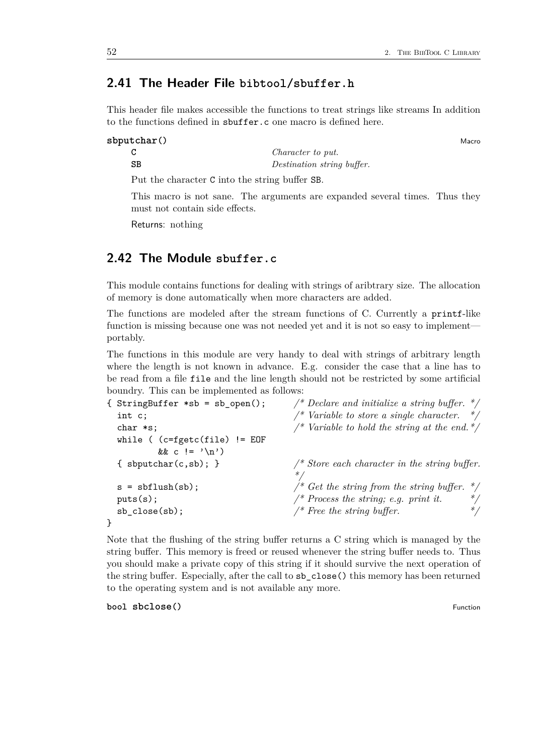# <span id="page-51-0"></span>**2.41 The Header File bibtool/sbuffer.h**

This header file makes accessible the functions to treat strings like streams In addition to the functions defined in sbuffer.c one macro is defined here.

**sbputchar** () Macro Macro Macro Macro Macro Macro Macro Macro Macro Macro Macro Macro Macro Macro Macro Macro Macro Macro Macro Macro Macro Macro Macro Macro Macro Macro Macro Macro Macro Macro Macro Macro Macro Macro Mac **C** *Character to put.* **SB** *Destination string buffer.*

Put the character C into the string buffer SB.

This macro is not sane. The arguments are expanded several times. Thus they

Returns: nothing

# <span id="page-51-1"></span>**2.42 The Module sbuffer.c**

must not contain side effects.

This module contains functions for dealing with strings of aribtrary size. The allocation of memory is done automatically when more characters are added.

The functions are modeled after the stream functions of C. Currently a printf-like function is missing because one was not needed yet and it is not so easy to implement portably.

The functions in this module are very handy to deal with strings of arbitrary length where the length is not known in advance. E.g. consider the case that a line has to be read from a file file and the line length should not be restricted by some artificial boundry. This can be implemented as follows:

| { StringBuffer $*sb = sb\_open()$ ; | /* Declare and initialize a string buffer. */    |
|-------------------------------------|--------------------------------------------------|
| int c;                              | /* Variable to store a single character. */      |
| $char$ $*s$ ;                       | /* Variable to hold the string at the end. $*/$  |
| while ( $(c = fgetc(file) != E0F)$  |                                                  |
| && c != $'\n\langle n' \rangle$     |                                                  |
| { $s$ bputchar $(c, sb)$ ; }        | /* Store each character in the string buffer.    |
|                                     |                                                  |
| $s = sbflush(sb);$                  | /* Get the string from the string buffer.<br>$*$ |
| puts(s);                            | $*/$<br>/* Process the string; e.g. print it.    |
| $sb_{close(sb)}$ ;                  | /* Free the string buffer.<br>$*$ /              |
|                                     |                                                  |

Note that the flushing of the string buffer returns a C string which is managed by the string buffer. This memory is freed or reused whenever the string buffer needs to. Thus you should make a private copy of this string if it should survive the next operation of the string buffer. Especially, after the call to sb\_close() this memory has been returned to the operating system and is not available any more.

**bool sbclose**() **Function**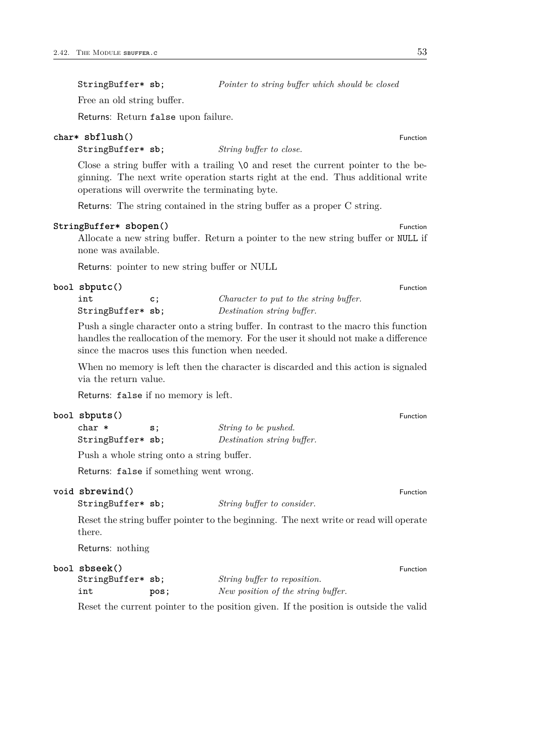StringBuffer\* **sb**; *Pointer to string buffer which should be closed*

Free an old string buffer.

Returns: Return false upon failure.

### **char\* sbflush()** Function

StringBuffer\* **sb**; *String buffer to close.*

Close a string buffer with a trailing  $\Diamond$  and reset the current pointer to the beginning. The next write operation starts right at the end. Thus additional write operations will overwrite the terminating byte.

Returns: The string contained in the string buffer as a proper C string.

#### **StringBuffer\* sbopen()** Function **Function**

Allocate a new string buffer. Return a pointer to the new string buffer or NULL if none was available.

Returns: pointer to new string buffer or NULL

#### **bool sbputc**() Function

| int               | Character to put to the string buffer. |
|-------------------|----------------------------------------|
| StringBuffer* sb; | Destination string buffer.             |

Push a single character onto a string buffer. In contrast to the macro this function handles the reallocation of the memory. For the user it should not make a difference since the macros uses this function when needed.

When no memory is left then the character is discarded and this action is signaled via the return value.

Returns: false if no memory is left.

# **bool sbputs()** Function

| char *            | s: | <i>String to be pushed.</i> |
|-------------------|----|-----------------------------|
| StringBuffer* sb; |    | Destination string buffer.  |

Push a whole string onto a string buffer.

Returns: false if something went wrong.

#### **void sbrewind**() Function **Function**

StringBuffer\* **sb**; *String buffer to consider.*

Reset the string buffer pointer to the beginning. The next write or read will operate there.

Returns: nothing

#### **bool sbseek**() Function

| StringBuffer* sb; |      | String buffer to reposition.       |
|-------------------|------|------------------------------------|
| int               | pos; | New position of the string buffer. |

Reset the current pointer to the position given. If the position is outside the valid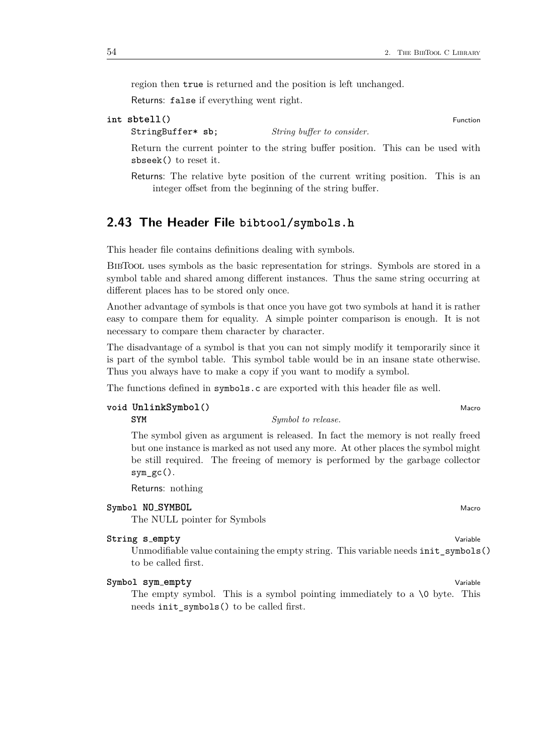region then true is returned and the position is left unchanged.

Returns: false if everything went right.

```
int sbtell() Function Function
```
StringBuffer\* **sb**; *String buffer to consider.*

Return the current pointer to the string buffer position. This can be used with sbseek() to reset it.

Returns: The relative byte position of the current writing position. This is an integer offset from the beginning of the string buffer.

# <span id="page-53-0"></span>**2.43 The Header File bibtool/symbols.h**

This header file contains definitions dealing with symbols.

BibTool uses symbols as the basic representation for strings. Symbols are stored in a symbol table and shared among different instances. Thus the same string occurring at different places has to be stored only once.

Another advantage of symbols is that once you have got two symbols at hand it is rather easy to compare them for equality. A simple pointer comparison is enough. It is not necessary to compare them character by character.

The disadvantage of a symbol is that you can not simply modify it temporarily since it is part of the symbol table. This symbol table would be in an insane state otherwise. Thus you always have to make a copy if you want to modify a symbol.

The functions defined in symbols.c are exported with this header file as well.

# **void**  $\text{UnlinkSymbol}()$

**SYM** *Symbol to release.*

The symbol given as argument is released. In fact the memory is not really freed but one instance is marked as not used any more. At other places the symbol might be still required. The freeing of memory is performed by the garbage collector  $sym\_gc()$ .

Returns: nothing

# **Symbol NO\_SYMBOL** Macrosoft COMBINER Macrosoft COMBINER Macrosoft COMBINER Macrosoft COMBINER Macro

The NULL pointer for Symbols

# **String s empty** Variable

Unmodifiable value containing the empty string. This variable needs init\_symbols() to be called first.

# **Symbol sym empty** Variable

The empty symbol. This is a symbol pointing immediately to a  $\lozenge$  byte. This needs init\_symbols() to be called first.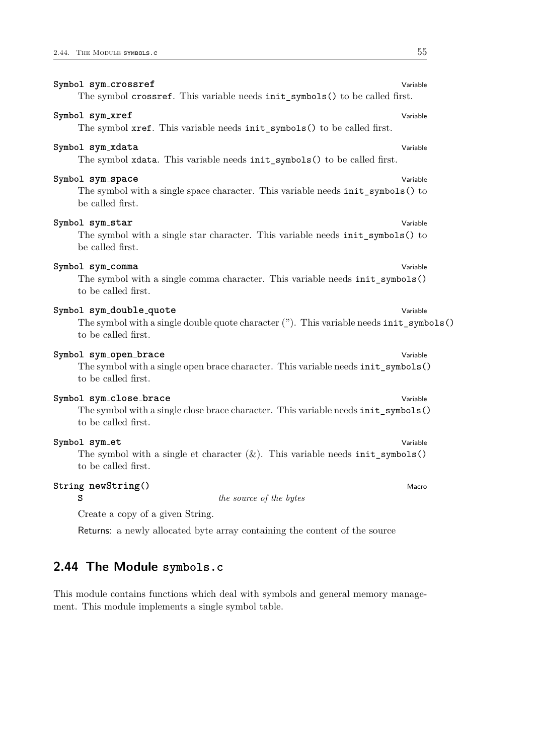| Symbol sym_crossref                                                                                                                       | Variable |
|-------------------------------------------------------------------------------------------------------------------------------------------|----------|
| The symbol crossref. This variable needs init_symbols() to be called first.                                                               |          |
| Symbol sym_xref<br>The symbol xref. This variable needs init_symbols() to be called first.                                                | Variable |
| Symbol sym_xdata<br>The symbol xdata. This variable needs init_symbols() to be called first.                                              | Variable |
| Symbol sym_space<br>The symbol with a single space character. This variable needs init_symbols() to<br>be called first.                   | Variable |
| Symbol sym_star<br>The symbol with a single star character. This variable needs init_symbols() to<br>be called first.                     | Variable |
| Symbol sym_comma<br>The symbol with a single comma character. This variable needs init_symbols()<br>to be called first.                   | Variable |
| Symbol sym_double_quote<br>The symbol with a single double quote character ("). This variable needs init_symbols()<br>to be called first. | Variable |
| Symbol sym_open_brace<br>The symbol with a single open brace character. This variable needs init_symbols()<br>to be called first.         | Variable |
| Symbol sym_close_brace<br>The symbol with a single close brace character. This variable needs init_symbols()<br>to be called first.       | Variable |
| Symbol sym_et<br>The symbol with a single et character $(k)$ . This variable needs init_symbols()<br>to be called first.                  | Variable |
| String newString()<br>s<br>the source of the bytes                                                                                        | Macro    |
| Create a copy of a given String.                                                                                                          |          |
| Returns: a newly allocated byte array containing the content of the source                                                                |          |

# <span id="page-54-0"></span>**2.44 The Module symbols.c**

This module contains functions which deal with symbols and general memory management. This module implements a single symbol table.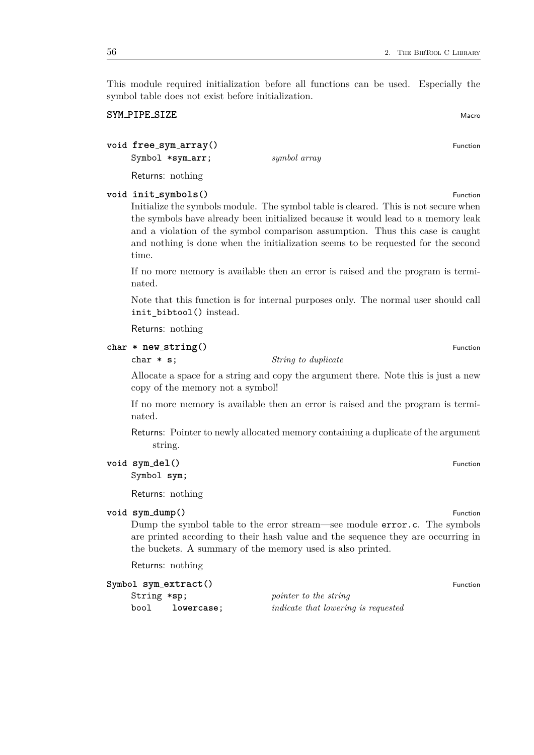This module required initialization before all functions can be used. Especially the symbol table does not exist before initialization.

# **SYM PIPE** SIZE

# **void free\_sym\_array()** Function

Symbol \***sym arr**; *symbol array*

Returns: nothing

# **void init symbols()** Function

Initialize the symbols module. The symbol table is cleared. This is not secure when the symbols have already been initialized because it would lead to a memory leak and a violation of the symbol comparison assumption. Thus this case is caught and nothing is done when the initialization seems to be requested for the second time.

If no more memory is available then an error is raised and the program is terminated.

Note that this function is for internal purposes only. The normal user should call init\_bibtool() instead.

Returns: nothing

# **char \* new\_string**() Function

char \* **s**; *String to duplicate*

Allocate a space for a string and copy the argument there. Note this is just a new copy of the memory not a symbol!

If no more memory is available then an error is raised and the program is terminated.

Returns: Pointer to newly allocated memory containing a duplicate of the argument string.

### **void sym\_del**() Function

Symbol **sym**;

Returns: nothing

#### **void sym dump()** Function

Dump the symbol table to the error stream—see module error.c. The symbols are printed according to their hash value and the sequence they are occurring in the buckets. A summary of the memory used is also printed.

Returns: nothing

| Symbol sym_extract() |                                            | Function |
|----------------------|--------------------------------------------|----------|
| String *sp;          | pointer to the string                      |          |
| bool<br>lowercase:   | <i>indicate that lowering is requested</i> |          |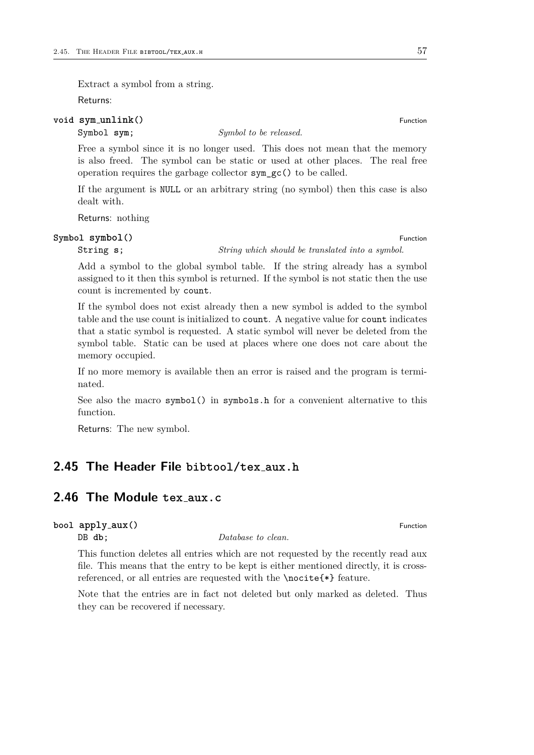Extract a symbol from a string.

Returns:

#### **void sym unlink()** Function

# Symbol sym; *Symbol to be released.*

Free a symbol since it is no longer used. This does not mean that the memory is also freed. The symbol can be static or used at other places. The real free operation requires the garbage collector sym\_gc() to be called.

If the argument is NULL or an arbitrary string (no symbol) then this case is also dealt with.

Returns: nothing

### **Symbol symbol**() Function

String **s**; *String which should be translated into a symbol.*

Add a symbol to the global symbol table. If the string already has a symbol assigned to it then this symbol is returned. If the symbol is not static then the use count is incremented by count.

If the symbol does not exist already then a new symbol is added to the symbol table and the use count is initialized to count. A negative value for count indicates that a static symbol is requested. A static symbol will never be deleted from the symbol table. Static can be used at places where one does not care about the memory occupied.

If no more memory is available then an error is raised and the program is terminated.

See also the macro symbol() in symbols.h for a convenient alternative to this function.

Returns: The new symbol.

# <span id="page-56-0"></span>**2.45 The Header File bibtool/tex aux.h**

# <span id="page-56-1"></span>**2.46 The Module tex aux.c**

# **bool apply\_aux** () Function

DB **db**; *Database to clean.* 

This function deletes all entries which are not requested by the recently read aux file. This means that the entry to be kept is either mentioned directly, it is crossreferenced, or all entries are requested with the \nocite{\*} feature.

Note that the entries are in fact not deleted but only marked as deleted. Thus they can be recovered if necessary.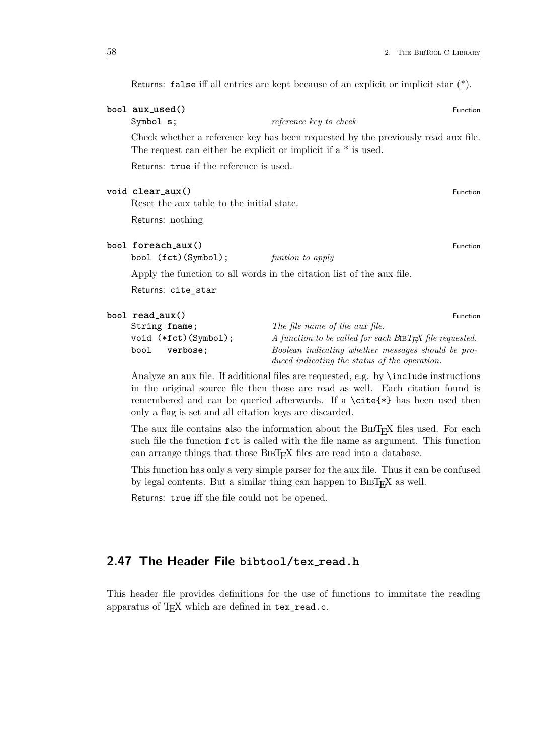**bool**  $aux\_used()$  Function Symbol **s**; *reference key to check* Check whether a reference key has been requested by the previously read aux file. The request can either be explicit or implicit if a \* is used. Returns: true if the reference is used. **void clear aux()** Function Reset the aux table to the initial state. Returns: nothing **bool foreach aux() Function** bool (**fct**)(Symbol); *funtion to apply* Apply the function to all words in the citation list of the aux file. Returns: cite\_star **bool read\_aux()** Function String **fname**; *The file name of the aux file.* void (\*fct)(Symbol); *A function to be called for each BiBT<sub>E</sub>X file requested.*<br>bool verbose; *Boolean indicating whether messages should be pro*bool **verbose**; *Boolean indicating whether messages should be pro-*

Returns: false iff all entries are kept because of an explicit or implicit star (\*).

Analyze an aux file. If additional files are requested, e.g. by \include instructions in the original source file then those are read as well. Each citation found is remembered and can be queried afterwards. If a \cite{\*} has been used then only a flag is set and all citation keys are discarded.

*duced indicating the status of the operation.*

The aux file contains also the information about the BIBT<sub>E</sub>X files used. For each such file the function fct is called with the file name as argument. This function can arrange things that those BIBT<sub>EX</sub> files are read into a database.

This function has only a very simple parser for the aux file. Thus it can be confused by legal contents. But a similar thing can happen to  $BIBT<sub>F</sub>X$  as well.

Returns: true iff the file could not be opened.

# <span id="page-57-0"></span>**2.47 The Header File bibtool/tex read.h**

This header file provides definitions for the use of functions to immitate the reading apparatus of  $T_{F}X$  which are defined in  $text$ <sub>read.c.</sub>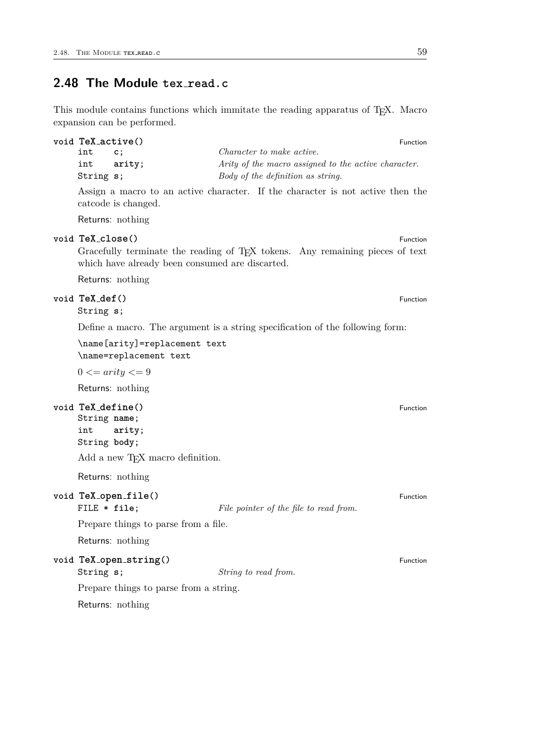# <span id="page-58-0"></span>**2.48 The Module tex read.c**

This module contains functions which immitate the reading apparatus of TEX. Macro expansion can be performed.

| void TeX_active() |            |                |                                                      | Function |  |
|-------------------|------------|----------------|------------------------------------------------------|----------|--|
|                   | int        | $\mathsf{c}$ : | Character to make active.                            |          |  |
|                   | int arity; |                | Arity of the macro assigned to the active character. |          |  |
|                   | String s;  |                | Body of the definition as string.                    |          |  |

Assign a macro to an active character. If the character is not active then the catcode is changed.

Returns: nothing

#### **void TeX close()** Function

Gracefully terminate the reading of TEX tokens. Any remaining pieces of text which have already been consumed are discarted.

Returns: nothing

# **void TeX def()** Function

String **s**;

Define a macro. The argument is a string specification of the following form:

\name[arity]=replacement text \name=replacement text

 $0 \leq \text{arity} \leq 9$ 

Returns: nothing

# **void TeX define()** Function

String **name**; int **arity**; String **body**;

Add a new T<sub>E</sub>X macro definition.

Returns: nothing

# **void TeX open file()** Function

FILE  $*$  **file**; *File pointer of the file to read from.* 

Prepare things to parse from a file.

Returns: nothing

**void TeX open string()** Function

String **s**; *String to read from.*

Prepare things to parse from a string.

Returns: nothing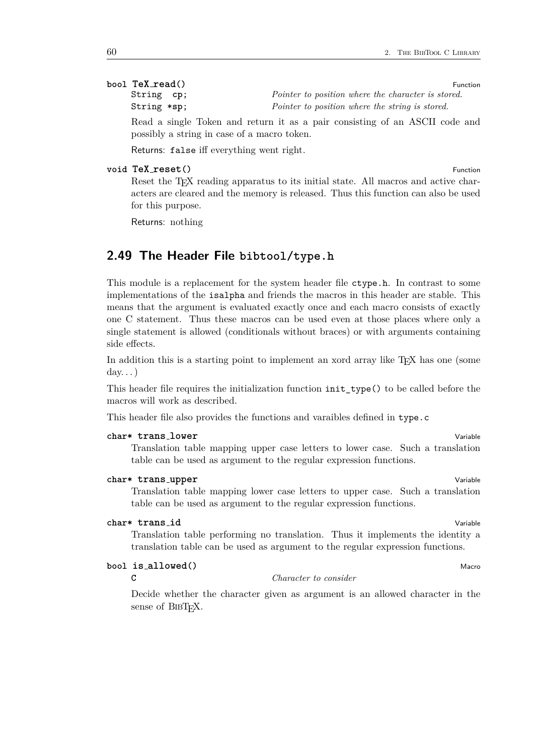# **bool**  $\text{TeX}\_\text{read}()$  Function

| String cp;  | <i>Pointer to position where the character is stored.</i> |
|-------------|-----------------------------------------------------------|
| String *sp; | Pointer to position where the string is stored.           |

Read a single Token and return it as a pair consisting of an ASCII code and possibly a string in case of a macro token.

Returns: false iff everything went right.

#### **void TeX reset()** Function

Reset the T<sub>EX</sub> reading apparatus to its initial state. All macros and active characters are cleared and the memory is released. Thus this function can also be used for this purpose.

Returns: nothing

# <span id="page-59-0"></span>**2.49 The Header File bibtool/type.h**

This module is a replacement for the system header file ctype.h. In contrast to some implementations of the isalpha and friends the macros in this header are stable. This means that the argument is evaluated exactly once and each macro consists of exactly one C statement. Thus these macros can be used even at those places where only a single statement is allowed (conditionals without braces) or with arguments containing side effects.

In addition this is a starting point to implement an xord array like T<sub>E</sub>X has one (some  $\text{dav.}$ ..

This header file requires the initialization function init\_type() to be called before the macros will work as described.

This header file also provides the functions and varaibles defined in type.c

### **char\* trans lower** Variable

Translation table mapping upper case letters to lower case. Such a translation table can be used as argument to the regular expression functions.

#### **char\* trans upper** Variable

Translation table mapping lower case letters to upper case. Such a translation table can be used as argument to the regular expression functions.

#### **char\* trans id** Variable

Translation table performing no translation. Thus it implements the identity a translation table can be used as argument to the regular expression functions.

# **bool is allowed()** Macro

**C** *Character to consider*

Decide whether the character given as argument is an allowed character in the sense of  $BIBT_FX$ .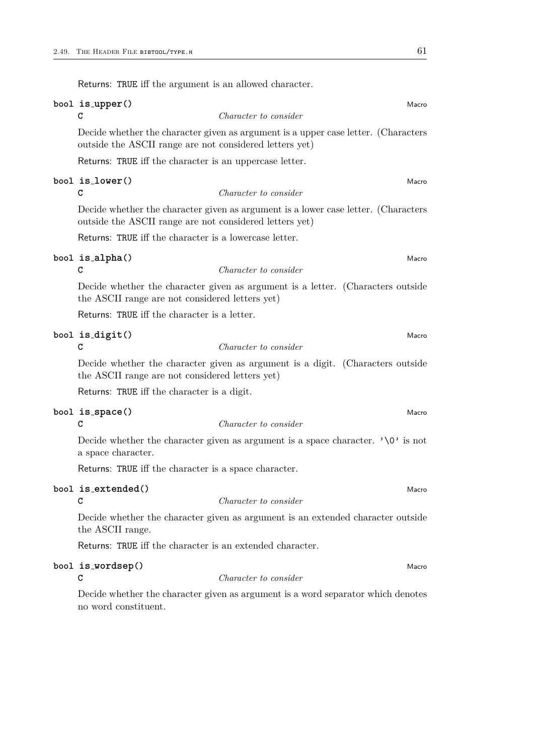|  | Returns: TRUE iff the argument is an allowed character.                                                                                       |  |  |
|--|-----------------------------------------------------------------------------------------------------------------------------------------------|--|--|
|  | bool is_upper()<br>Macro<br>Character to consider<br>C                                                                                        |  |  |
|  | Decide whether the character given as argument is a upper case letter. (Characters<br>outside the ASCII range are not considered letters yet) |  |  |
|  | Returns: TRUE iff the character is an uppercase letter.                                                                                       |  |  |
|  | bool is_lower()<br>Macro<br>Character to consider<br>С                                                                                        |  |  |
|  | Decide whether the character given as argument is a lower case letter. (Characters<br>outside the ASCII range are not considered letters yet) |  |  |
|  | Returns: TRUE iff the character is a lowercase letter.                                                                                        |  |  |
|  | bool is_alpha()<br>Macro<br>C<br>Character to consider                                                                                        |  |  |
|  | Decide whether the character given as argument is a letter. (Characters outside<br>the ASCII range are not considered letters yet)            |  |  |
|  | Returns: TRUE iff the character is a letter.                                                                                                  |  |  |
|  | bool is_digit()<br>Macro<br>C<br>Character to consider                                                                                        |  |  |
|  | Decide whether the character given as argument is a digit. (Characters outside<br>the ASCII range are not considered letters yet)             |  |  |
|  | Returns: TRUE iff the character is a digit.                                                                                                   |  |  |
|  | bool is_space()<br>Macro<br>Character to consider<br>C                                                                                        |  |  |
|  | Decide whether the character given as argument is a space character. $\sqrt{0}$ is not<br>a space character.                                  |  |  |
|  | Returns: TRUE iff the character is a space character.                                                                                         |  |  |
|  | bool is_extended()<br>Macro                                                                                                                   |  |  |
|  | Character to consider<br>С                                                                                                                    |  |  |
|  | Decide whether the character given as argument is an extended character outside<br>the ASCII range.                                           |  |  |
|  | Returns: TRUE iff the character is an extended character.                                                                                     |  |  |

# **bool is\_wordsep()** Macro  $\begin{array}{ccc}\n\bullet & \bullet & \bullet & \bullet & \bullet \\
C & \bullet & \bullet & \bullet & \bullet & \bullet \\
\end{array}$  Macro  $\begin{array}{ccc}\n\bullet & \bullet & \bullet & \bullet & \bullet & \bullet \\
\bullet & \bullet & \bullet & \bullet & \bullet & \bullet & \bullet \\
\end{array}$

**C** *Character to consider*

Decide whether the character given as argument is a word separator which denotes no word constituent.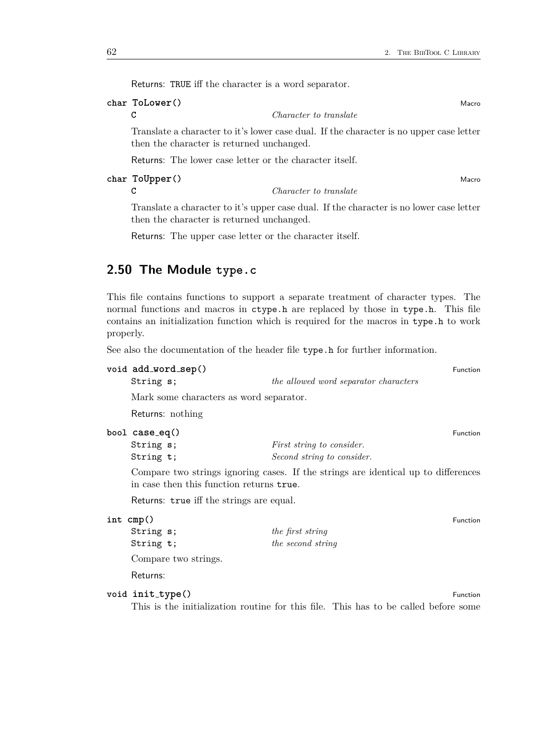Returns: TRUE iff the character is a word separator.

# **char ToLower** () Macro **Macro Macro 2008** Macro **Macro Macro Macro Macro Macro Macro Macro Macro Macro Macro Macro Macro Macro Macro Macro Macro Macro Macro Macro Macro Macro**

**C** *Character to translate*

Translate a character to it's lower case dual. If the character is no upper case letter then the character is returned unchanged.

Returns: The lower case letter or the character itself.

**char ToUpper()** Macro Macro Macro Macro Macro Macro Macro Macro Macro Macro Macro Macro Macro Macro Macro Macro Macro Macro Macro Macro Macro Macro Macro Macro Macro Macro Macro Macro Macro Macro Macro Macro Macro Macro M

**C** *Character to translate*

Translate a character to it's upper case dual. If the character is no lower case letter then the character is returned unchanged.

Returns: The upper case letter or the character itself.

# <span id="page-61-0"></span>**2.50 The Module type.c**

This file contains functions to support a separate treatment of character types. The normal functions and macros in ctype.h are replaced by those in type.h. This file contains an initialization function which is required for the macros in type.h to work properly.

See also the documentation of the header file type.h for further information.

```
void add word sep() Function
```
String **s**; *the allowed word separator characters*

Mark some characters as word separator.

Returns: nothing

| bool case_eq() |                                  | <b>Function</b> |
|----------------|----------------------------------|-----------------|
| String s;      | <i>First string to consider.</i> |                 |
| String t:      | Second string to consider.       |                 |

Compare two strings ignoring cases. If the strings are identical up to differences in case then this function returns true.

Returns: true iff the strings are equal.

#### **int cmp**() Function

| String s;            | the first string  |
|----------------------|-------------------|
| String t;            | the second string |
| Compare two strings. |                   |

Returns:

# **void** init\_type() Function

This is the initialization routine for this file. This has to be called before some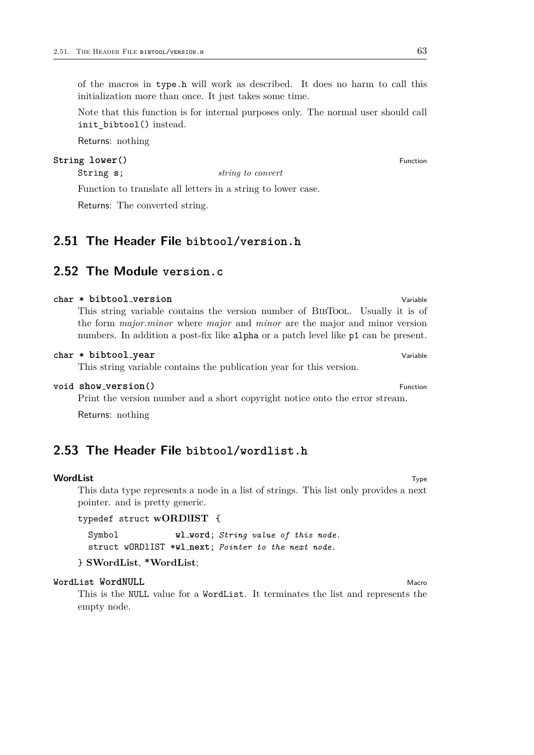of the macros in type.h will work as described. It does no harm to call this initialization more than once. It just takes some time.

Note that this function is for internal purposes only. The normal user should call init\_bibtool() instead.

Returns: nothing

# **String lower**() Function

String **s**; *string to convert*

Function to translate all letters in a string to lower case.

Returns: The converted string.

# <span id="page-62-0"></span>**2.51 The Header File bibtool/version.h**

# <span id="page-62-1"></span>**2.52 The Module version.c**

### **char \* bibtool\_version** Variable

This string variable contains the version number of BibTool. Usually it is of the form *major.minor* where *major* and *minor* are the major and minor version numbers. In addition a post-fix like alpha or a patch level like p1 can be present.

#### **char \* bibtool year** Variable

This string variable contains the publication year for this version.

# **void show\_version()** Function

Print the version number and a short copyright notice onto the error stream.

Returns: nothing

# <span id="page-62-2"></span>**2.53 The Header File bibtool/wordlist.h**

#### **WordList** Type

This data type represents a node in a list of strings. This list only provides a next pointer. and is pretty generic.

```
typedef struct wORDlIST {
```
Symbol **wl word**; *String value of this node.* struct wORDlIST \***wl next**; *Pointer to the next node.*

# } **SWordList**, **\*WordList**;

#### **WordList WordNULL** Macro Macro Macro Macro Macro Macro Macro Macro Macro Macro Macro Macro Macro Macro Macro Macro Macro Macro Macro Macro Macro Macro Macro Macro Macro Macro Macro Macro Macro Macro Macro Macro Macro Macr

This is the NULL value for a WordList. It terminates the list and represents the empty node.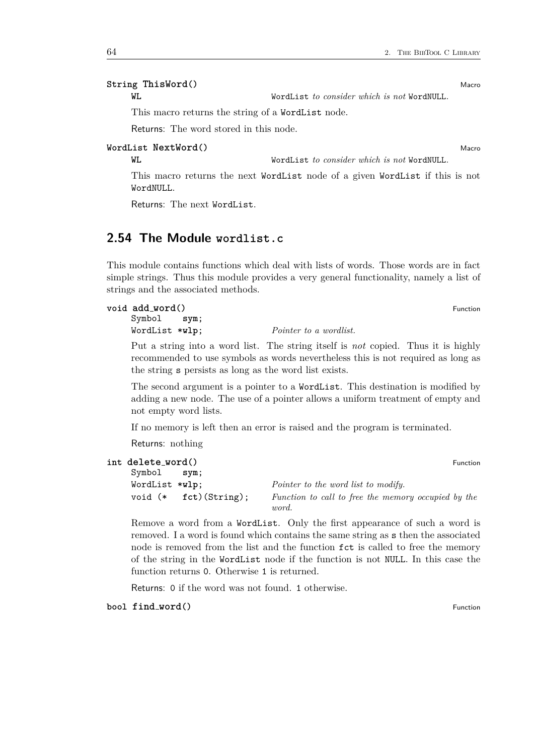# **String ThisWord()** Macro

**WL** WordList *to consider which is not* WordNULL*.*

This macro returns the string of a WordList node.

Returns: The word stored in this node.

# **WordList NextWord()** Macro

**WL** WordList *to consider which is not* WordNULL*.*

This macro returns the next WordList node of a given WordList if this is not WordNULL.

Returns: The next WordList.

# <span id="page-63-0"></span>**2.54 The Module wordlist.c**

This module contains functions which deal with lists of words. Those words are in fact simple strings. Thus this module provides a very general functionality, namely a list of strings and the associated methods.

## **void add word()** Function

Symbol **sym**; WordList \***wlp**; *Pointer to a wordlist.*

Put a string into a word list. The string itself is *not* copied. Thus it is highly recommended to use symbols as words nevertheless this is not required as long as the string s persists as long as the word list exists.

The second argument is a pointer to a WordList. This destination is modified by adding a new node. The use of a pointer allows a uniform treatment of empty and not empty word lists.

If no memory is left then an error is raised and the program is terminated.

Returns: nothing

```
int delete word() Function
```

| Symbol         | sym;             |                                                     |
|----------------|------------------|-----------------------------------------------------|
| WordList *wlp; |                  | <i>Pointer to the word list to modify.</i>          |
| void (*        | $fct)$ (String); | Function to call to free the memory occupied by the |
|                |                  | <i>word</i> .                                       |

Remove a word from a WordList. Only the first appearance of such a word is removed. I a word is found which contains the same string as s then the associated node is removed from the list and the function fct is called to free the memory of the string in the WordList node if the function is not NULL. In this case the function returns 0. Otherwise 1 is returned.

Returns: 0 if the word was not found. 1 otherwise.

**bool find\_word()** Function **Function**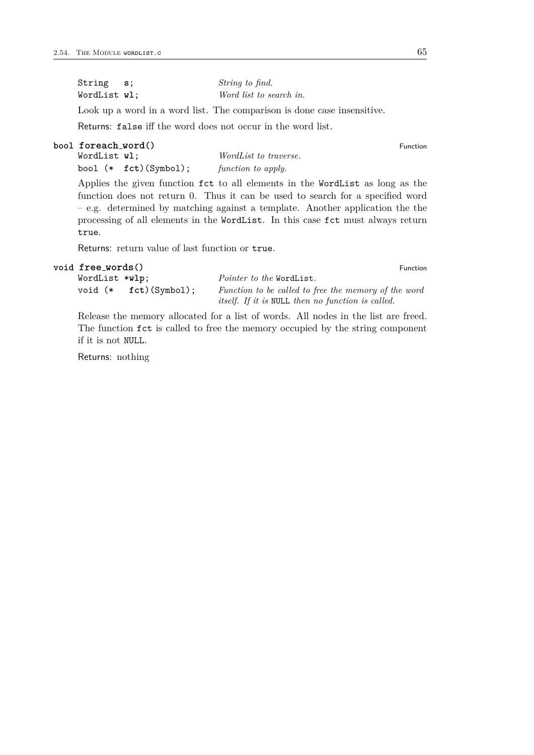| String s;    | String to find.         |
|--------------|-------------------------|
| WordList wl: | Word list to search in. |

Look up a word in a word list. The comparison is done case insensitive.

Returns: false iff the word does not occur in the word list.

**bool foreach\_word()**<br>
WordList **wl**;<br>
WordList *to traverse.*  $WorldList\; to\; traverse.$ bool (\* **fct**)(Symbol); *function to apply.*

Applies the given function fct to all elements in the WordList as long as the function does not return 0. Thus it can be used to search for a specified word – e.g. determined by matching against a template. Another application the the processing of all elements in the WordList. In this case fct must always return true.

Returns: return value of last function or true.

```
void free words() Function
```
WordList \***wlp**; *Pointer to the* WordList*.* void (\* **fct**)(Symbol); *Function to be called to free the memory of the word itself. If it is* NULL *then no function is called.*

Release the memory allocated for a list of words. All nodes in the list are freed. The function fct is called to free the memory occupied by the string component if it is not NULL.

Returns: nothing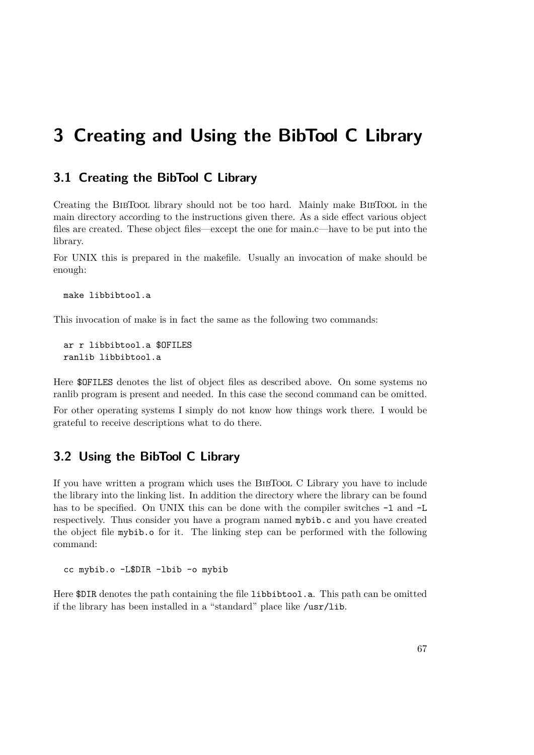# <span id="page-66-0"></span>**3 Creating and Using the BibTool C Library**

# <span id="page-66-1"></span>**3.1 Creating the BibTool C Library**

Creating the BIBTOOL library should not be too hard. Mainly make BIBTOOL in the main directory according to the instructions given there. As a side effect various object files are created. These object files—except the one for main.c—have to be put into the library.

For UNIX this is prepared in the makefile. Usually an invocation of make should be enough:

```
make libbibtool.a
```
This invocation of make is in fact the same as the following two commands:

ar r libbibtool.a \$OFILES ranlib libbibtool.a

Here \$OFILES denotes the list of object files as described above. On some systems no ranlib program is present and needed. In this case the second command can be omitted.

For other operating systems I simply do not know how things work there. I would be grateful to receive descriptions what to do there.

# <span id="page-66-2"></span>**3.2 Using the BibTool C Library**

If you have written a program which uses the BibTool C Library you have to include the library into the linking list. In addition the directory where the library can be found has to be specified. On UNIX this can be done with the compiler switches  $-1$  and  $-L$ respectively. Thus consider you have a program named mybib.c and you have created the object file mybib.o for it. The linking step can be performed with the following command:

cc mybib.o -L\$DIR -lbib -o mybib

Here \$DIR denotes the path containing the file libbibtool.a. This path can be omitted if the library has been installed in a "standard" place like /usr/lib.